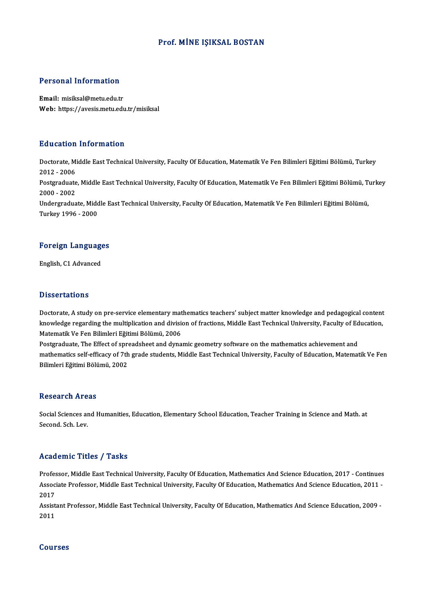#### Prof.MİNE IŞIKSAL BOSTAN

# Personal Information

Personal Information<br>Email: misiksal@metu.edu.tr<br>Web: https://avesis.metu.edu Email: misiksal@metu.edu.tr<br>Web: https://avesis.metu.edu.tr/misiksal

#### Education Information

**Education Information**<br>Doctorate, Middle East Technical University, Faculty Of Education, Matematik Ve Fen Bilimleri Eğitimi Bölümü, Turkey<br>2012 - 2006 2012 -2006<br>2012 - 2006<br>Postaraduata Doctorate, Middle East Technical University, Faculty Of Education, Matematik Ve Fen Bilimleri Eğitimi Bölümü, Turkey<br>2012 - 2006<br>Postgraduate, Middle East Technical University, Faculty Of Education, Matematik Ve Fen Biliml 2012 - 2006<br>Postgraduate<br>2000 - 2002<br>Undergradua Postgraduate, Middle East Technical University, Faculty Of Education, Matematik Ve Fen Bilimleri Eğitimi Bölümü, T<br>2000 - 2002<br>Undergraduate, Middle East Technical University, Faculty Of Education, Matematik Ve Fen Bilimle 2000 - 2002<br>Undergraduate, Middle East Technical University, Faculty Of Education, Matematik Ve Fen Bilimleri Eğitimi Bölümü,<br>Turkey 1996 - 2000

# Turkey 1996 - 2000<br>Foreign Languages F<mark>oreign Languag</mark>e<br>English, C1 Advanced

English, C1 Advanced<br>Dissertations

Doctorate, A study on pre-service elementary mathematics teachers' subject matter knowledge and pedagogical content B kooor cacroms<br>Doctorate, A study on pre-service elementary mathematics teachers' subject matter knowledge and pedagogical content<br>Knowledge regarding the multiplication and division of fractions, Middle East Technical Un Doctorate, A study on pre-service elementary mat<br>knowledge regarding the multiplication and division<br>Matematik Ve Fen Bilimleri Eğitimi Bölümü, 2006<br>Postsraduate The Effect of spreadsheet and dune knowledge regarding the multiplication and division of fractions, Middle East Technical University, Faculty of Ed<br>Matematik Ve Fen Bilimleri Eğitimi Bölümü, 2006<br>Postgraduate, The Effect of spreadsheet and dynamic geometry

Matematik Ve Fen Bilimleri Eğitimi Bölümü, 2006<br>Postgraduate, The Effect of spreadsheet and dynamic geometry software on the mathematics achievement and<br>mathematics self-efficacy of 7th grade students, Middle East Technica Postgraduate, The Effect of spr<br>mathematics self-efficacy of 7th<br>Bilimleri Eğitimi Bölümü, 2002 Bilimleri Eğitimi Bölümü, 2002<br>Research Areas

Social Sciences and Humanities, Education, Elementary School Education, Teacher Training in Science and Math. at Second.Sch.Lev.

#### Academic Titles / Tasks

Academic Titles / Tasks<br>Professor, Middle East Technical University, Faculty Of Education, Mathematics And Science Education, 2017 - Continues<br>Associate Professor, Middle Fost Technical University, Faculty Of Education, Ma AssociateMice Profes / Professor<br>Professor, Middle East Technical University, Faculty Of Education, Mathematics And Science Education, 2017 - Continues<br>Associate Professor, Middle East Technical University, Faculty Of Educ Profes<br>Assoc<br>2017<br>Assist Associate Professor, Middle East Technical University, Faculty Of Education, Mathematics And Science Education, 2011<br>2017<br>Assistant Professor, Middle East Technical University, Faculty Of Education, Mathematics And Science

2017<br>Assist<br>2011 2011<br>Courses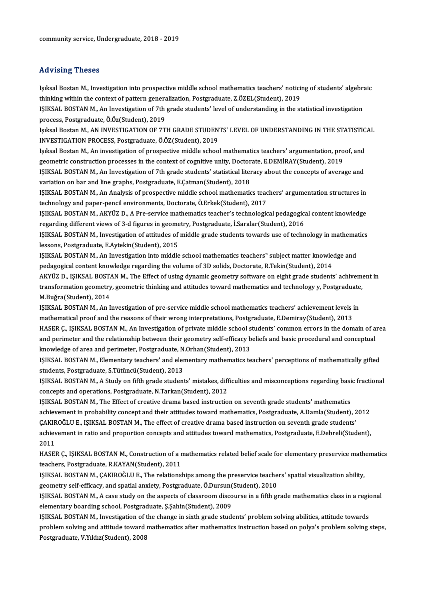#### Advising Theses

Advising Theses<br>Işıksal Bostan M., Investigation into prospective middle school mathematics teachers' noticing of students' algebraic<br>thinking within the context of nattern generalization. Pestgraduate, 7 ÖZEL (Student), 2 thinking a thoses<br>Isiksal Bostan M., Investigation into prospective middle school mathematics teachers' noticii<br>thinking within the context of pattern generalization, Postgraduate, Z.ÖZEL(Student), 2019<br>ISIKSAL POSTAN M. A Işıksal Bostan M., Investigation into prospective middle school mathematics teachers' noticing of students' algebra<br>thinking within the context of pattern generalization, Postgraduate, Z.ÖZEL(Student), 2019<br>IŞIKSAL BOSTAN thinking within the context of pattern generalization, Postgraduate, Z.ÖZEL(Student), 2019<br>IŞIKSAL BOSTAN M., An Investigation of 7th grade students' level of understanding in the statistical investigation<br>process, Postgra IŞIKSAL BOSTAN M., An Investigation of 7th grade students' level of understanding in the statistical investigation<br>process, Postgraduate, Ö.Öz(Student), 2019<br>Işıksal Bostan M., AN INVESTIGATION OF 7TH GRADE STUDENTS' LEVEL process, Postgraduate, Ö.Öz(Student), 2019<br>Işıksal Bostan M., AN INVESTIGATION OF 7TH GRADE STUDEN<br>INVESTIGATION PROCESS, Postgraduate, Ö.ÖZ(Student), 2019<br>Isıksal Bostan M. An investigation of prospective middle seboe Işıksal Bostan M., AN INVESTIGATION OF 7TH GRADE STUDENTS' LEVEL OF UNDERSTANDING IN THE STATISTIC<br>INVESTIGATION PROCESS, Postgraduate, Ö.ÖZ(Student), 2019<br>Işıksal Bostan M., An investigation of prospective middle school m INVESTIGATION PROCESS, Postgraduate, Ö.ÖZ(Student), 2019<br>Işıksal Bostan M., An investigation of prospective middle school mathematics teachers' argumentation, pro<br>geometric construction processes in the context of cognitiv Işıksal Bostan M., An investigation of prospective middle school mathematics teachers' argumentation, proof, and<br>geometric construction processes in the context of cognitive unity, Doctorate, E.DEMİRAY(Student), 2019<br>IŞIKS geometric construction processes in the context of cognitive unity, Doctorate, E.DEMİRAY(Student), 2019<br>IŞIKSAL BOSTAN M., An Investigation of 7th grade students' statistical literacy about the concepts of average and<br>vari IŞIKSAL BOSTAN M., An Investigation of 7th grade students' statistical literacy about the concepts of average and<br>variation on bar and line graphs, Postgraduate, E.Çatman(Student), 2018<br>IŞIKSAL BOSTAN M., An Analysis of pr variation on bar and line graphs, Postgraduate, E.Çatman(Student), 2018<br>IŞIKSAL BOSTAN M., An Analysis of prospective middle school mathematics teac<br>technology and paper-pencil environments, Doctorate, Ö.Erkek(Student), 20 IŞIKSAL BOSTAN M., An Analysis of prospective middle school mathematics teachers' argumentation structures in<br>technology and paper-pencil environments, Doctorate, Ö.Erkek(Student), 2017<br>IŞIKSAL BOSTAN M., AKYÜZ D., A Pre-s technology and paper-pencil environments, Doctorate, Ö.Erkek(Student), 2017<br>IŞIKSAL BOSTAN M., AKYÜZ D., A Pre-service mathematics teacher's technological pedagogical content knowledge<br>regarding different views of 3-d figu IŞIKSAL BOSTAN M., AKYÜZ D., A Pre-service mathematics teacher's technological pedagogical content knowledge<br>regarding different views of 3-d figures in geometry, Postgraduate, İ.Saralar(Student), 2016<br>IŞIKSAL BOSTAN M., I regarding different views of 3-d figures in geome<br>IŞIKSAL BOSTAN M., Investigation of attitudes of<br>lessons, Postgraduate, E.Aytekin(Student), 2015<br>ISIKSAL BOSTAN M. An Investigation inte middle IŞIKSAL BOSTAN M., Investigation of attitudes of middle grade students towards use of technology in mathematics<br>Iessons, Postgraduate, E.Aytekin(Student), 2015<br>IŞIKSAL BOSTAN M., An Investigation into middle school mathema lessons, Postgraduate, E.Aytekin(Student), 2015<br>IŞIKSAL BOSTAN M., An Investigation into middle school mathematics teachers" subject matter knowledge and<br>pedagogical content knowledge regarding the volume of 3D solids, Doc IŞIKSAL BOSTAN M., An Investigation into middle school mathematics teachers" subject matter knowledge and<br>pedagogical content knowledge regarding the volume of 3D solids, Doctorate, R.Tekin(Student), 2014<br>AKYÜZ D., IŞIKSAL pedagogical content knowledge regarding the volume of 3D solids, Doctorate, R.Tekin(Student), 2014<br>AKYÜZ D., IŞIKSAL BOSTAN M., The Effect of using dynamic geometry software on eight grade students' achivement<br>transformati AKYÜZ D., IŞIKSAL BOST/<br>transformation geometry<br>M.Buğra(Student), 2014<br>ISIKSAL POSTAN M. AR L transformation geometry, geometric thinking and attitudes toward mathematics and technology y, Postgraduate,<br>M.Buğra(Student), 2014<br>IŞIKSAL BOSTAN M., An Investigation of pre-service middle school mathematics teachers' ach IŞIKSAL BOSTAN M., An Investigation of pre-service middle school mathematics teachers' achievement levels in HASER Ç., IŞIKSAL BOSTAN M., An Investigation of private middle school students' common errors in the domain of area mathematical proof and the reasons of their wrong interpretations, Postgraduate, E.Demiray(Student), 2013<br>HASER Ç., IŞIKSAL BOSTAN M., An Investigation of private middle school students' common errors in the domain of a<br>an HASER Ç., IŞIKSAL BOSTAN M., An Investigation of private middle school s<br>and perimeter and the relationship between their geometry self-efficacy b<br>knowledge of area and perimeter, Postgraduate, N.Orhan(Student), 2013<br>ISIKS and perimeter and the relationship between their geometry self-efficacy beliefs and basic procedural and conceptual<br>knowledge of area and perimeter, Postgraduate, N.Orhan(Student), 2013<br>IŞIKSAL BOSTAN M., Elementary teache knowledge of area and perimeter, Postgraduate, N.Orhan(Student), 2013<br>IŞIKSAL BOSTAN M., Elementary teachers' and elementary mathematics teachers' perceptions of mathematically gifted<br>students, Postgraduate, S.Tütüncü(Stud IŞIKSAL BOSTAN M., Elementary teachers' and elementary mathematics teachers' perceptions of mathematically gifted concepts and operations, Postgraduate, N.Tarkan(Student), 2012 IŞIKSAL BOSTAN M., A Study on fifth grade students' mistakes, difficulties and misconceptions regarding basic<br>concepts and operations, Postgraduate, N.Tarkan(Student), 2012<br>IŞIKSAL BOSTAN M., The Effect of creative drama b

concepts and operations, Postgraduate, N.Tarkan(Student), 2012<br>IŞIKSAL BOSTAN M., The Effect of creative drama based instruction on seventh grade students' mathematics<br>achievement in probability concept and their attitudes IŞIKSAL BOSTAN M., The Effect of creative drama based instruction on seventh grade students' mathematics<br>achievement in probability concept and their attitudes toward mathematics, Postgraduate, A.Damla(Student), 2<br>CAKIROĞL achievement in probability concept and their attitudes toward mathematics, Postgraduate, A.Damla(Student), 2012<br>ÇAKIROĞLU E., IŞIKSAL BOSTAN M., The effect of creative drama based instruction on seventh grade students'<br>ach CAKIR<br>achiev<br>2011<br>HASEI achievement in ratio and proportion concepts and attitudes toward mathematics, Postgraduate, E.Debreli(Student),<br>2011<br>HASER Ç., IŞIKSAL BOSTAN M., Construction of a mathematics related belief scale for elementary preservic

2011<br>HASER Ç., IŞIKSAL BOSTAN M., Construction of a r<br>teachers, Postgraduate, R.KAYAN(Student), 2011<br>ISIKSAL POSTAN M. CAKIROČLU E. The relations HASER Ç., IŞIKSAL BOSTAN M., Construction of a mathematics related belief scale for elementary preservice math<br>teachers, Postgraduate, R.KAYAN(Student), 2011<br>IŞIKSAL BOSTAN M., ÇAKIROĞLU E., The relationships among the pre

teachers, Postgraduate, R.KAYAN(Student), 2011<br>IŞIKSAL BOSTAN M., ÇAKIROĞLU E., The relationships among the preservice teachers' spatial visualization ability,<br>geometry self-efficacy, and spatial anxiety, Postgraduate, Ö.D IŞIKSAL BOSTAN M., ÇAKIROĞLU E., The relationships among the preservice teachers' spatial visualization ability,<br>geometry self-efficacy, and spatial anxiety, Postgraduate, Ö.Dursun(Student), 2010<br>IŞIKSAL BOSTAN M., A case

geometry self-efficacy, and spatial anxiety, Postgraduate, Ö.Dursun(<br>IŞIKSAL BOSTAN M., A case study on the aspects of classroom disco<br>elementary boarding school, Postgraduate, Ş.Şahin(Student), 2009<br>ISIKSAL BOSTAN M. Inve IŞIKSAL BOSTAN M., A case study on the aspects of classroom discourse in a fifth grade mathematics class in a region<br>elementary boarding school, Postgraduate, Ş.Şahin(Student), 2009<br>IŞIKSAL BOSTAN M., Investigation of the

elementary boarding school, Postgraduate, Ş.Şahin(Student), 2009<br>IŞIKSAL BOSTAN M., Investigation of the change in sixth grade students' problem solving abilities, attitude towards<br>problem solving and attitude toward mathe IŞIKSAL BOSTAN M., Investigation of t<br>problem solving and attitude toward<br>Postgraduate, V.Yıldız(Student), 2008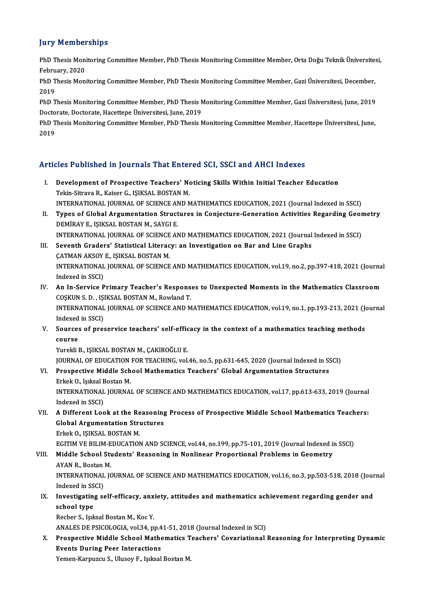#### **Jury Memberships**

**Jury Memberships**<br>PhD Thesis Monitoring Committee Member, PhD Thesis Monitoring Committee Member, Orta Doğu Teknik Üniversitesi,<br>February 2020 PhD Thesis Monitor<br>February, 2020<br>PhD Thesis Moni PhD Thesis Monitoring Committee Member, PhD Thesis Monitoring Committee Member, Orta Doğu Teknik Üniversite:<br>February, 2020<br>PhD Thesis Monitoring Committee Member, PhD Thesis Monitoring Committee Member, Gazi Üniversitesi,

Febru<br>PhD T<br>2019<br>פרט PhD Thesis Monitoring Committee Member, PhD Thesis Monitoring Committee Member, Gazi Üniversitesi, December,<br>2019<br>PhD Thesis Monitoring Committee Member, PhD Thesis Monitoring Committee Member, Gazi Üniversitesi, June, 201

2019<br>PhD Thesis Monitoring Committee Member, PhD Thesis Monitoring Committee Member, Gazi Üniversitesi, June, 2019<br>Doctorate, Doctorate, Hacettepe Üniversitesi, June, 2019 PhD Thesis Monitoring Committee Member, PhD Thesis Monitoring Committee Member, Gazi Üniversitesi, June, 2019<br>Doctorate, Doctorate, Hacettepe Üniversitesi, June, 2019<br>PhD Thesis Monitoring Committee Member, PhD Thesis Moni

Docto<br>PhD T<br>2019

# Articles Published in Journals That Entered SCI, SSCI and AHCI Indexes

- rticles Published in Journals That Entered SCI, SSCI and AHCI Indexes<br>I. Development of Prospective Teachers' Noticing Skills Within Initial Teacher Education<br>Tekin Sitreve B. Kaiser G. ISIKSAL POSTAN M. Text Tuberbard in Journals That Enter<br>Development of Prospective Teachers' No<br>Tekin-Sitrava R., Kaiser G., IŞIKSAL BOSTAN M.<br>INTERNATIONAL IQUENAL OF SCIENCE AND N Tekin-Sitrava R., Kaiser G., IŞIKSAL BOSTAN M.<br>INTERNATIONAL JOURNAL OF SCIENCE AND MATHEMATICS EDUCATION, 2021 (Journal Indexed in SSCI)
- Tekin-Sitrava R., Kaiser G., IŞIKSAL BOSTAN M.<br>INTERNATIONAL JOURNAL OF SCIENCE AND MATHEMATICS EDUCATION, 2021 (Journal Indexed in SSCI)<br>II. Types of Global Argumentation Structures in Conjecture-Generation Activities INTERNATIONAL JOURNAL OF SCIENCE AN<br>Types of Global Argumentation Struct<br>DEMİRAY E., IŞIKSAL BOSTAN M., SAYGI E.<br>INTERNATIONAL JOURNAL OF SCIENCE AN Types of Global Argumentation Structures in Conjecture-Generation Activities Regarding Geor<br>DEMİRAY E., IŞIKSAL BOSTAN M., SAYGI E.<br>INTERNATIONAL JOURNAL OF SCIENCE AND MATHEMATICS EDUCATION, 2021 (Journal Indexed in SSCI) DEMİRAY E., IŞIKSAL BOSTAN M., SAYGI E.<br>INTERNATIONAL JOURNAL OF SCIENCE AND MATHEMATICS EDUCATION, 2021 (Journal<br>III. Seventh Graders' Statistical Literacy: an Investigation on Bar and Line Graphs
- INTERNATIONAL JOURNAL OF SCIENCE<br>Seventh Graders' Statistical Literac<br>CATMAN AKSOY E., IŞIKSAL BOSTAN M.<br>INTERNATIONAL JOURNAL OF SCIENCE Seventh Graders' Statistical Literacy: an Investigation on Bar and Line Graphs<br>ÇATMAN AKSOY E., IŞIKSAL BOSTAN M.<br>INTERNATIONAL JOURNAL OF SCIENCE AND MATHEMATICS EDUCATION, vol.19, no.2, pp.397-418, 2021 (Journal<br>Indeved CATMAN AKSOY<br>INTERNATIONAL<br>Indexed in SSCI)<br>An In Sorvice B INTERNATIONAL JOURNAL OF SCIENCE AND MATHEMATICS EDUCATION, vol.19, no.2, pp.397-418, 2021 (Journa<br>Indexed in SSCI)<br>IV. An In-Service Primary Teacher's Responses to Unexpected Moments in the Mathematics Classroom
- Indexed in SSCI)<br>An In-Service Primary Teacher's Respons<br>COŞKUN S. D. , IŞIKSAL BOSTAN M., Rowland T.<br>INTERNATIONAL JOURNAL OF SCIENCE AND M An In-Service Primary Teacher's Responses to Unexpected Moments in the Mathematics Classroom<br>COŞKUN S. D. , IŞIKSAL BOSTAN M., Rowland T.<br>INTERNATIONAL JOURNAL OF SCIENCE AND MATHEMATICS EDUCATION, vol.19, no.1, pp.193-213 COSKUN S. D. , ISI<br>INTERNATIONAL<br>Indexed in SSCI)<br>Sources of pres INTERNATIONAL JOURNAL OF SCIENCE AND MATHEMATICS EDUCATION, vol.19, no.1, pp.193-213, 2021 (Journal Indexed in SSCI)<br>V. Sources of preservice teachers' self-efficacy in the context of a mathematics teaching methods<br>Course
- Indexed<br>Source:<br>course<br><sup>Vuroki i</sub></sup> Sources of preservice teachers' self-effic<br>course<br>Yurekli B., IŞIKSAL BOSTAN M., ÇAKIROĞLU E.<br>JOUPNAL OF EDUCATION EOP TEACHING YOL

course<br>Yurekli B., IŞIKSAL BOSTAN M., ÇAKIROĞLU E.<br>JOURNAL OF EDUCATION FOR TEACHING, vol.46, no.5, pp.631-645, 2020 (Journal Indexed in SSCI) Yurekli B., IŞIKSAL BOSTAN M., ÇAKIROĞLU E.<br>JOURNAL OF EDUCATION FOR TEACHING, vol.46, no.5, pp.631-645, 2020 (Journal Indexed in St<br>VI. Prospective Middle School Mathematics Teachers' Global Argumentation Structures<br>Friel **JOURNAL OF EDUCATION<br>Prospective Middle Sch<br>Erkek O., Işıksal Bostan M.<br>INTERNATIONAL JOURNA** 

Prospective Middle School Mathematics Teachers' Global Argumentation Structures<br>Erkek 0., Işıksal Bostan M.<br>INTERNATIONAL JOURNAL OF SCIENCE AND MATHEMATICS EDUCATION, vol.17, pp.613-633, 2019 (Journal<br>Indeved in SSCD Erkek O., Işıksal Bostan M.<br>INTERNATIONAL JOURNAL OF SCIENCE AND MATHEMATICS EDUCATION, vol.17, pp.613-633, 2019 (Journal<br>Indexed in SSCI) INTERNATIONAL JOURNAL OF SCIENCE AND MATHEMATICS EDUCATION, vol.17, pp.613-633, 2019 (Journal Indexed in SSCI)<br>VII. A Different Look at the Reasoning Process of Prospective Middle School Mathematics Teachers:<br>Clobal Argume

Indexed in SSCI)<br>A Different Look at the Reasoning<br>Global Argumentation Structures<br>Frisk O, ISIKSAL ROSTAN M **A Different Look at the Re<br>Global Argumentation Stri<br>Erkek O., IŞIKSAL BOSTAN M.<br>ECITIM VE BILIM EDUCATION** Global Argumentation Structures<br>Erkek O., IŞIKSAL BOSTAN M.<br>EGITIM VE BILIM-EDUCATION AND SCIENCE, vol.44, no.199, pp.75-101, 2019 (Journal Indexed in SSCI)<br>Middle Sebeel Students' Bessening in Nonlinear Brenertianal Brebl

### Erkek O., IŞIKSAL BOSTAN M.<br>EGITIM VE BILIM-EDUCATION AND SCIENCE, vol.44, no.199, pp.75-101, 2019 (Journal Indexed i<br>VIII. Middle School Students' Reasoning in Nonlinear Proportional Problems in Geometry EGITIM VE BILIM-E<br>Middle School Stu<br>AYAN R., Bostan M.<br>INTERNATIONAL IC Middle School Students' Reasoning in Nonlinear Proportional Problems in Geometry<br>AYAN R., Bostan M.<br>INTERNATIONAL JOURNAL OF SCIENCE AND MATHEMATICS EDUCATION, vol.16, no.3, pp.503-518, 2018 (Journal<br>Indexed in SSCD

AYAN R., Bostan M.<br>INTERNATIONAL JOURNAL OF SCIENCE AND MATHEMATICS EDUCATION, vol.16, no.3, pp.503-518, 2018 (Jour<br>Indexed in SSCI)<br>IX. Investigating self-efficacy, anxiety, attitudes and mathematics achievement regarding INTERNATIONAL JOURNAL OF SCIENCE AND MATHEMATICS EDUCATION, vol.16, no.3, pp.503-518, 2018 (Jour<br>Indexed in SSCI)<br>IX. Investigating self-efficacy, anxiety, attitudes and mathematics achievement regarding gender and<br>school

# Indexed in SSCI)<br>Investigating s<br>school type school type<br>Recber S., Işıksal Bostan M., Koc Y.<br>ANALES DE PSICOLOGIA, vol.34, pp.41-51, 2018 (Journal Indexed in SCI)<br>Prospective Middle School Mathematics Teachers' Covariational

Recber S., Işıksal Bostan M., Koc Y.

## Recber S., Işıksal Bostan M., Koc Y.<br>ANALES DE PSICOLOGIA, vol.34, pp.41-51, 2018 (Journal Indexed in SCI)<br>X. Prospective Middle School Mathematics Teachers' Covariational Reasoning for Interpreting Dynamic<br>Fyonte Duning P ANALES DE PSICOLOGIA, vol.34, pp.4<br>Prospective Middle School Mathe<br>Events During Peer Interactions<br>Yoman Kannuggu S. Hlugov E. Jaksel Prospective Middle School Mathematics T<br>Events During Peer Interactions<br>Yemen-Karpuzcu S., Ulusoy F., Işıksal Bostan M.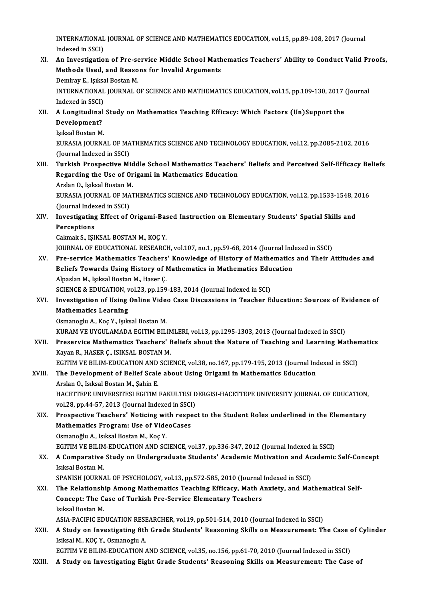INTERNATIONAL JOURNAL OF SCIENCE AND MATHEMATICS EDUCATION, vol.15, pp.89-108, 2017 (Journal INTERNATIONAL<br>Indexed in SSCI)<br>An Investigatio INTERNATIONAL JOURNAL OF SCIENCE AND MATHEMATICS EDUCATION, vol.15, pp.89-108, 2017 (Journal<br>Indexed in SSCI)<br>XI. An Investigation of Pre-service Middle School Mathematics Teachers' Ability to Conduct Valid Proofs,<br>Mathods

- Indexed in SSCI)<br>An Investigation of Pre-service Middle School Math<br>Methods Used, and Reasons for Invalid Arguments<br>Peminau E. Jaikaal Bestan M An Investigation of Pre-se<br>Methods Used, and Reaso<br>Demiray E., Işıksal Bostan M.<br>INTERNATIONAL IQURNAL C Methods Used, and Reasons for Invalid Arguments<br>Demiray E., Işıksal Bostan M.<br>INTERNATIONAL JOURNAL OF SCIENCE AND MATHEMATICS EDUCATION, vol.15, pp.109-130, 2017 (Journal<br>Indoved in SSCD Demiray E., Işıksa<br>INTERNATIONAL<br>Indexed in SSCI)<br>A Longitudinal INTERNATIONAL JOURNAL OF SCIENCE AND MATHEMATICS EDUCATION, vol.15, pp.109-130, 2017<br>Indexed in SSCI)<br>XII. A Longitudinal Study on Mathematics Teaching Efficacy: Which Factors (Un)Support the<br>Development?
- Indexed in SSCI)<br>A Longitudinal<br>Development?<br>Jaksel Bostan M A Longitudinal<br>Development?<br>Işıksal Bostan M.<br>EURASIA JOURNA
	-

Development?<br>Işıksal Bostan M.<br>EURASIA JOURNAL OF MATHEMATICS SCIENCE AND TECHNOLOGY EDUCATION, vol.12, pp.2085-2102, 2016<br>(Journal Indoved in SSCL) Işıksal Bostan M.<br>EURASIA JOURNAL OF MA<br>(Journal Indexed in SSCI)<br>Tunkish Prospective Mi

(Journal Indexed in SSCI)<br>XIII. Turkish Prospective Middle School Mathematics Teachers' Beliefs and Perceived Self-Efficacy Beliefs (Journal Indexed in SSCI)<br>Turkish Prospective Middle School Mathematics Teacher<br>Regarding the Use of Origami in Mathematics Education<br>Arslan O. Julisel Bostan M **Turkish Prospective Mid<br>Regarding the Use of Or<br>Arslan O., Işıksal Bostan M.<br>EURASIA JOURNAL OF MAT** 

Regarding the Use of Origami in Mathematics Education<br>Arslan O., Işıksal Bostan M.<br>EURASIA JOURNAL OF MATHEMATICS SCIENCE AND TECHNOLOGY EDUCATION, vol.12, pp.1533-1548, 2016<br>(Journal Indeved in SSCL) Arslan O., Işıksal Bostan M<br>EURASIA JOURNAL OF MA<br>(Journal Indexed in SSCI)<br>Investigating Effect of t (Journal Indexed in SSCI)

XIV. Investigating Effect of Origami-Based Instruction on Elementary Students' Spatial Skills and<br>Perceptions

Cakmak S., IŞIKSAL BOSTAN M., KOÇ Y.

JOURNAL OF EDUCATIONAL RESEARCH, vol.107, no.1, pp.59-68, 2014 (Journal Indexed in SSCI)

- XV. Pre-service Mathematics Teachers' Knowledge of History of Mathematics and Their Attitudes and JOURNAL OF EDUCATIONAL RESEARCH, vol.107, no.1, pp.59-68, 2014 (Journal Ind<br>Pre-service Mathematics Teachers' Knowledge of History of Mathematics<br>Beliefs Towards Using History of Mathematics in Mathematics Education<br>Alpeel Alpaslan M., Işıksal Bostan M., Haser Ç. Beliefs Towards Using History of Mathematics in Mathematics Edu<br>Alpaslan M., Işıksal Bostan M., Haser Ç.<br>SCIENCE & EDUCATION, vol.23, pp.159-183, 2014 (Journal Indexed in SCI)<br>Investigation of Heing Online Video Gese Dissu
- Alpaslan M., Işıksal Bostan M., Haser Ç.<br>SCIENCE & EDUCATION, vol.23, pp.159-183, 2014 (Journal Indexed in SCI)<br>XVI. Investigation of Using Online Video Case Discussions in Teacher Education: Sources of Evidence of<br>Mathema SCIENCE & EDUCATION, vol.23, pp.159-183, 2014 (Journal Indexed in SCI)<br>Investigation of Using Online Video Case Discussions in Teacher E<br>Mathematics Learning<br>Osmanoglu A., Koç Y., Işıksal Bostan M. Investigation of Using Online Vide<br>Mathematics Learning<br>Osmanoglu A., Koç Y., Işıksal Bostan M.<br>VURAM VE UVCULAMADA ECITIM PU Mathematics Learning<br>Osmanoglu A., Koç Y., Işıksal Bostan M.<br>KURAM VE UYGULAMADA EGITIM BILIMLERI, vol.13, pp.1295-1303, 2013 (Journal Indexed in SSCI)<br>Preservise Methematiss Teachers' Beliefs about the Nature of Teaching

XVII. Preservice Mathematics Teachers' Beliefs about the Nature of Teaching and Learning Mathematics<br>Kayan R., HASER C., ISIKSAL BOSTAN M. KURAM VE UYGULAMADA EGITIM BILIN<br>Preservice Mathematics Teachers' I<br>Kayan R., HASER Ç., ISIKSAL BOSTAN M.<br>ECITIM VE BILIM EDUCATION AND SCIE Preservice Mathematics Teachers' Beliefs about the Nature of Teaching and Learning Mather<br>Kayan R., HASER Ç., ISIKSAL BOSTAN M.<br>EGITIM VE BILIM-EDUCATION AND SCIENCE, vol.38, no.167, pp.179-195, 2013 (Journal Indexed in SS

# Kayan R., HASER Ç., ISIKSAL BOSTAN M.<br>EGITIM VE BILIM-EDUCATION AND SCIENCE, vol.38, no.167, pp.179-195, 2013 (Journal Inc<br>XVIII. The Development of Belief Scale about Using Origami in Mathematics Education EGITIM VE BILIM-EDUCATION AND<br>The Development of Belief Scale<br>Arslan O., Isıksal Bostan M., Şahin E.<br>HACETTEDE UNIVEDSITESI ECITIM

The Development of Belief Scale about Using Origami in Mathematics Education<br>Arslan O., Isıksal Bostan M., Şahin E.<br>HACETTEPE UNIVERSITESI EGITIM FAKULTESI DERGISI-HACETTEPE UNIVERSITY JOURNAL OF EDUCATION,<br>vol 28. pp.44.5 Arslan O., Isıksal Bostan M., Şahin E.<br>HACETTEPE UNIVERSITESI EGITIM FAKULTESI D<br>vol.28, pp.44-57, 2013 (Journal Indexed in SSCI)<br>Prespective Teachers' Natising with respec HACETTEPE UNIVERSITESI EGITIM FAKULTESI DERGISI-HACETTEPE UNIVERSITY JOURNAL OF EDUCATION,<br>vol.28, pp.44-57, 2013 (Journal Indexed in SSCI)<br>XIX. Prospective Teachers' Noticing with respect to the Student Roles underlined i

vol.28, pp.44-57, 2013 (Journal Indexed in SSCI<br>Prospective Teachers' Noticing with respe<br>Mathematics Program: Use of VideoCases<br>Osmanoğlu A. Jaksel Bestan M. Kes V. Prospective Teachers' Noticing wi<br>Mathematics Program: Use of Vide<br>Osmanoğlu A., Isıksal Bostan M., Koç Y.<br>FCITIM VE PILIM EDUCATION AND SC

Osmanoğlu A., Isıksal Bostan M., Koç Y.<br>EGITIM VE BILIM-EDUCATION AND SCIENCE, vol.37, pp.336-347, 2012 (Journal Indexed in SSCI)

Osmanoğlu A., Isıksal Bostan M., Koç Y.<br>EGITIM VE BILIM-EDUCATION AND SCIENCE, vol.37, pp.336-347, 2012 (Journal Indexed in SSCI)<br>XX. A Comparative Study on Undergraduate Students' Academic Motivation and Academic Self EGITIM VE BILIM<br>A Comparative<br>Isıksal Bostan M.<br>SPANISH JOUPNA A Comparative Study on Undergraduate Students' Academic Motivation and Ac<br>Isıksal Bostan M.<br>SPANISH JOURNAL OF PSYCHOLOGY, vol.13, pp.572-585, 2010 (Journal Indexed in SSCI)<br>The Bolationship Among Mathematics Teaching Effi

Isiksal Bostan M.<br>SPANISH JOURNAL OF PSYCHOLOGY, vol.13, pp.572-585, 2010 (Journal Indexed in SSCI)<br>XXI. The Relationship Among Mathematics Teaching Efficacy, Math Anxiety, and Mathematical Self-<br>Consent: The Case of T SPANISH JOURNAL OF PSYCHOLOGY, vol.13, pp.572-585, 2010 (Journal Indexed in SSCI)<br>The Relationship Among Mathematics Teaching Efficacy, Math Anxiety, and Ma<br>Concept: The Case of Turkish Pre-Service Elementary Teachers<br>Isik The Relationsh<br>Concept: The C<br>Isıksal Bostan M.<br>ASIA BACIEICED

ASIA-PACIFIC EDUCATION RESEARCHER, vol.19, pp.501-514, 2010 (Journal Indexed in SSCI)

Isıksal Bostan M.<br>ASIA-PACIFIC EDUCATION RESEARCHER, vol.19, pp.501-514, 2010 (Journal Indexed in SSCI)<br>XXII. A Study on Investigating 8th Grade Students' Reasoning Skills on Measurement: The Case of Cylinder<br>Isiksel M. ASIA-PACIFIC EDUCATION RESE<br>A Study on Investigating 8th<br>Isiksal M., KOÇ Y., Osmanoglu A.<br>ECITIM VE PH IM EDUCATION A Study on Investigating 8th Grade Students' Reasoning Skills on Measurement: The Case of Isiksal M., KOÇ Y., Osmanoglu A.<br>EGITIM VE BILIM-EDUCATION AND SCIENCE, vol.35, no.156, pp.61-70, 2010 (Journal Indexed in SSCI)<br>A S Isiksal M., KOÇ Y., Osmanoglu A.<br>EGITIM VE BILIM-EDUCATION AND SCIENCE, vol.35, no.156, pp.61-70, 2010 (Journal Indexed in SSCI)<br>XXIII. A Study on Investigating Eight Grade Students' Reasoning Skills on Measurement: Th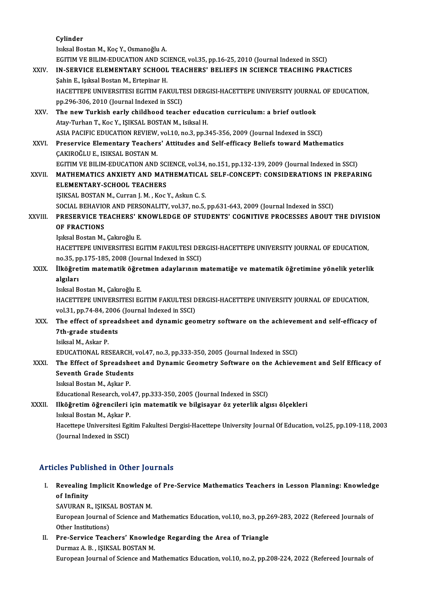Cylinder IsıksalBostanM.,KoçY.,OsmanoğluA. Cylinder<br>Isıksal Bostan M., Koç Y., Osmanoğlu A.<br>EGITIM VE BILIM-EDUCATION AND SCIENCE, vol.35, pp.16-25, 2010 (Journal Indexed in SSCI)<br>IN SERVICE ELEMENTARY SCHOOL TEACHERS' RELIEFS IN SCIENCE TEACHING RRA XXIV. IN-SERVICE ELEMENTARY SCHOOL TEACHERS' BELIEFS IN SCIENCE TEACHING PRACTICES<br>Sahin E., Işıksal Bostan M., Ertepinar H. EGITIM VE BILIM-EDUCATION AND SC<br>IN-SERVICE ELEMENTARY SCHOOL<br>Şahin E., Işıksal Bostan M., Ertepinar H.<br>HACETTERE UNIVERSITESI ECITIM FAL IN-SERVICE ELEMENTARY SCHOOL TEACHERS' BELIEFS IN SCIENCE TEACHING PRACTICES<br>Şahin E., Işıksal Bostan M., Ertepinar H.<br>HACETTEPE UNIVERSITESI EGITIM FAKULTESI DERGISI-HACETTEPE UNIVERSITY JOURNAL OF EDUCATION,<br>nn 296 306 3 Sahin E., Işıksal Bostan M., Ertepinar H.<br>HACETTEPE UNIVERSITESI EGITIM FAKULTI<br>pp.296-306, 2010 (Journal Indexed in SSCI)<br>The now Turkish early shildheed teach HACETTEPE UNIVERSITESI EGITIM FAKULTESI DERGISI-HACETTEPE UNIVERSITY JOURNA<br>pp.296-306, 2010 (Journal Indexed in SSCI)<br>XXV. The new Turkish early childhood teacher education curriculum: a brief outlook<br>Atay Turkan T. Kos V pp.296-306, 2010 (Journal Indexed in SSCI)<br>The new Turkish early childhood teacher education curriculum: a brief outlook<br>Atay-Turhan T., Koc Y., ISIKSAL BOSTAN M., Isiksal H. ASIA PACIFIC EDUCATION REVIEW, vol.10, no.3, pp.345-356, 2009 (Journal Indexed in SSCI) Atay-Turhan T., Koc Y., IŞIKSAL BOSTAN M., Isiksal H.<br>ASIA PACIFIC EDUCATION REVIEW, vol.10, no.3, pp.345-356, 2009 (Journal Indexed in SSCI)<br>XXVI. Preservice Elementary Teachers' Attitudes and Self-efficacy Beliefs toward ASIA PACIFIC EDUCATION REVIEW,<br>Preservice Elementary Teacher<br>ÇAKIROĞLU E., ISIKSAL BOSTAN M.<br>ECITIM VE PILIM EDUCATION AND Preservice Elementary Teachers' Attitudes and Self-efficacy Beliefs toward Mathematics<br>CAKIROĞLU E., ISIKSAL BOSTAN M.<br>EGITIM VE BILIM-EDUCATION AND SCIENCE, vol.34, no.151, pp.132-139, 2009 (Journal Indexed in SSCI)<br>MATHE CAKIROĞLU E., ISIKSAL BOSTAN M.<br>EGITIM VE BILIM-EDUCATION AND SCIENCE, vol.34, no.151, pp.132-139, 2009 (Journal Indexed in SSCI)<br>XXVII. MATHEMATICS ANXIETY AND MATHEMATICAL SELF-CONCEPT: CONSIDERATIONS IN PREPARING EGITIM VE BILIM-EDUCATION AND SCIENCE, vol.34, no.151, pp.132-139, 2009 (Journal Indexed in SSCI)<br>MATHEMATICS ANXIETY AND MATHEMATICAL SELF-CONCEPT: CONSIDERATIONS IN PREPAR<br>ELEMENTARY-SCHOOL TEACHERS<br>ISIKSAL BOSTAN M., Cu MATHEMATICS ANXIETY AND MATHEMATICAL<br>ELEMENTARY-SCHOOL TEACHERS<br>IŞIKSAL BOSTAN M., Curran J. M. , Koc Y., Askun C. S.<br>SOCIAL BEHAVIOR AND BERSONALITY vol 37 no 5 ELEMENTARY-SCHOOL TEACHERS<br>IŞIKSAL BOSTAN M., Curran J. M. , Koc Y., Askun C. S.<br>SOCIAL BEHAVIOR AND PERSONALITY, vol.37, no.5, pp.631-643, 2009 (Journal Indexed in SSCI)<br>PRESERVICE TEACHERS' KNOWLEDGE OF STUDENTS' COCNITI XXVIII. PRESERVICE TEACHERS' KNOWLEDGE OF STUDENTS' COGNITIVE PROCESSES ABOUT THE DIVISION<br>OF FRACTIONS SOCIAL BEHAVIO<br>PRESERVICE TE<br>OF FRACTIONS<br>Jolisel Besten M Işıksal Bostan M., Çakıroğlu E. OF FRACTIONS<br>Işıksal Bostan M., Çakıroğlu E.<br>HACETTEPE UNIVERSITESI EGITIM FAKULTESI DERGISI-HACETTEPE UNIVERSITY JOURNAL OF EDUCATION,<br>PR.35. PR.175, 195, 2008 (Journal Indoved in SSCI) Işıksal Bostan M., Çakıroğlu E.<br>HACETTEPE UNIVERSITESI EGITIM FAKULTESI DEI<br>no.35, pp.175-185, 2008 (Journal Indexed in SSCI)<br>İlköğretim matematik öğretmen adaylarının n HACETTEPE UNIVERSITESI EGITIM FAKULTESI DERGISI-HACETTEPE UNIVERSITY JOURNAL OF EDUCATION,<br>no.35, pp.175-185, 2008 (Journal Indexed in SSCI)<br>XXIX. İlköğretim matematik öğretmen adaylarının matematiğe ve matematik öğretimin no.35, p<br>İlköğre<br>algıları<br>Jeksel P İlk<mark>öğretim matematik öğre</mark><br>algıları<br>Isıksal Bostan M., Çakıroğlu E.<br>HACETTEDE UNIVERSITESI EC algıları<br>Isıksal Bostan M., Çakıroğlu E.<br>HACETTEPE UNIVERSITESI EGITIM FAKULTESI DERGISI-HACETTEPE UNIVERSITY JOURNAL OF EDUCATION,<br>VRL31 PR.74,84,2006 (Journal Indoved in SSCI) Isıksal Bostan M., Çakıroğlu E.<br>HACETTEPE UNIVERSITESI EGITIM FAKULTESI D<br>vol.31, pp.74-84, 2006 (Journal Indexed in SSCI)<br>The effect of spreadsheet and dunamis see HACETTEPE UNIVERSITESI EGITIM FAKULTESI DERGISI-HACETTEPE UNIVERSITY JOURNAL OF EDUCATION,<br>vol.31, pp.74-84, 2006 (Journal Indexed in SSCI)<br>XXX. The effect of spreadsheet and dynamic geometry software on the achievement an vol.31, pp.74-84, 2006<br>The effect of spread<br>7th-grade students The effect of spr<br>7th-grade studer<br>Isiksal M., Askar P.<br>EDUCATIONAL PE Isiksal M., Askar P.<br>EDUCATIONAL RESEARCH, vol.47, no.3, pp.333-350, 2005 (Journal Indexed in SSCI) Isiksal M., Askar P.<br>EDUCATIONAL RESEARCH, vol.47, no.3, pp.333-350, 2005 (Journal Indexed in SSCI)<br>XXXI. The Effect of Spreadsheet and Dynamic Geometry Software on the Achievement and Self Efficacy of<br>Seventh Crade Studen EDUCATIONAL RESEARCH,<br>The Effect of Spreadshee<br>Seventh Grade Students<br>Jaliaal Bestan M. Askar B. The Effect of Spreadsh<br>Seventh Grade Student<br>Isıksal Bostan M., Aşkar P.<br>Educational Boscansh vel Seventh Grade Students<br>Isıksal Bostan M., Aşkar P.<br>Educational Research, vol.47, pp.333-350, 2005 (Journal Indexed in SSCI)<br>Ilköğretim öğrengileri isin metemetik ve bilgiseyen öz usterlik alg Isıksal Bostan M., Aşkar P.<br>Educational Research, vol.47, pp.333-350, 2005 (Journal Indexed in SSCI)<br>XXXII. Ilköğretim öğrencileri için matematik ve bilgisayar öz yeterlik algısı ölçekleri<br>Isıksal Bostan M., Aşkar P. Educational Research, vol.<br>Ilköğretim öğrencileri i<br>Isıksal Bostan M., Aşkar P.<br>Haçettana Universitesi Esi Ilk<mark>öğretim öğrencileri için matematik ve bilgisayar öz yeterlik algısı ölçekleri</mark><br>Isıksal Bostan M., Aşkar P.<br>Hacettepe Universitesi Egitim Fakultesi Dergisi-Hacettepe University Journal Of Education, vol.25, pp.109-118, Isıksal Bostan M., Aşkar P.<br>Hacettepe Universitesi Egi<br>(Journal Indexed in SSCI) Articles Published in Other Journals

rticles Published in Other Journals<br>I. Revealing Implicit Knowledge of Pre-Service Mathematics Teachers in Lesson Planning: Knowledge<br>of Infinity Revealing<br>Revealing<br>SAVURAN B Revealing Implicit Knowledge<br>of Infinity<br>SAVURAN R., IŞIKSAL BOSTAN M.<br>European Journal of Scionce and L

of Infinity<br>SAVURAN R., IŞIKSAL BOSTAN M.<br>European Journal of Science and Mathematics Education, vol.10, no.3, pp.269-283, 2022 (Refereed Journals of<br>Other Institutione) SAVURAN R., IŞIKS<br>European Journal c<br>Other Institutions)<br>Pre-Service Toog European Journal of Science and Mathematics Education, vol.10, no.3, pp.2<br>Other Institutions)<br>II. Pre-Service Teachers' Knowledge Regarding the Area of Triangle<br>Durmer A. B., ISIKSAL POSTAN M.

Other Institutions)<br>Pre-Service Teachers' Knowled<br>Durmaz A. B. , IŞIKSAL BOSTAN M.<br>Euronean Journal of Science and M Durmaz A. B. , IŞIKSAL BOSTAN M.<br>European Journal of Science and Mathematics Education, vol.10, no.2, pp.208-224, 2022 (Refereed Journals of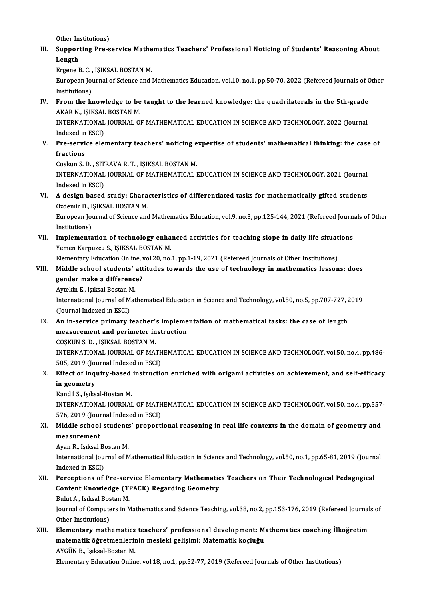Other Institutions)

Other Institutions)<br>III. Supporting Pre-service Mathematics Teachers' Professional Noticing of Students' Reasoning About<br>Langth Other In<br>Suppor<br>Length<br>Engene L Supporting Pre-service Mathe<br>Length<br>Ergene B.C., IŞIKSAL BOSTAN M.<br>European Journal of Scionce and L

Length<br>Ergene B. C. , IŞIKSAL BOSTAN M.<br>European Journal of Science and Mathematics Education, vol.10, no.1, pp.50-70, 2022 (Refereed Journals of Other<br>Institutions) Ergene B. C. ,<br>European Jou<br>Institutions)<br>Erem the ki European Journal of Science and Mathematics Education, vol.10, no.1, pp.50-70, 2022 (Refereed Journals of C<br>Institutions)<br>IV. From the knowledge to be taught to the learned knowledge: the quadrilaterals in the 5th-grade<br>AF

Institutions)<br>From the knowledge to be<br>AKAR N., IŞIKSAL BOSTAN M.<br>INTERNATIONAL JOURNAL O From the knowledge to be taught to the learned knowledge: the quadrilaterals in the 5th-grade<br>AKAR N., IŞIKSAL BOSTAN M.<br>INTERNATIONAL JOURNAL OF MATHEMATICAL EDUCATION IN SCIENCE AND TECHNOLOGY, 2022 (Journal<br>Indexed in E

AKAR N., IŞIKSAL BOSTAN M.<br>INTERNATIONAL JOURNAL OF MATHEMATICAL EDUCATION IN SCIENCE AND TECHNOLOGY, 2022 (Journal<br>Indexed in ESCI) INTERNATIONAL JOURNAL OF MATHEMATICAL EDUCATION IN SCIENCE AND TECHNOLOGY, 2022 (Journal<br>Indexed in ESCI)<br>V. Pre-service elementary teachers' noticing expertise of students' mathematical thinking: the case of<br>fractions

# Indexed in<br>Pre-servi<br>fractions<br>Coskup S-1 Pre-service elementary teachers' noticing e<br>fractions<br>Coskun S. D. , SİTRAVA R. T. , IŞIKSAL BOSTAN M.<br>INTERNATIONAL JOURNAL OF MATUEMATICAL I

fractions<br>Coskun S. D. , SİTRAVA R. T. , IŞIKSAL BOSTAN M.<br>INTERNATIONAL JOURNAL OF MATHEMATICAL EDUCATION IN SCIENCE AND TECHNOLOGY, 2021 (Journal Coskun S. D. , SİT<br>INTERNATIONAL<br>Indexed in ESCI)<br>A design based INTERNATIONAL JOURNAL OF MATHEMATICAL EDUCATION IN SCIENCE AND TECHNOLOGY, 2021 (Journal<br>Indexed in ESCI)<br>VI. A design based study: Characteristics of differentiated tasks for mathematically gifted students<br>Ordemia D. ISIK

Indexed in ESCI)<br>VI. A design based study: Characteristics of differentiated tasks for mathematically gifted students<br>Ozdemir D., IŞIKSAL BOSTAN M. A design based study: Characteristics of differentiated tasks for mathematically gifted students<br>Ozdemir D., IŞIKSAL BOSTAN M.<br>European Journal of Science and Mathematics Education, vol.9, no.3, pp.125-144, 2021 (Refereed

Ozdemir D., I<br>European Jou<br>Institutions)<br>Implements European Journal of Science and Mathematics Education, vol.9, no.3, pp.125-144, 2021 (Refereed Journ<br>Institutions)<br>VII. Implementation of technology enhanced activities for teaching slope in daily life situations<br>Vemen Ken

Institutions)<br>Implementation of technology enha<br>Yemen Karpuzcu S., IŞIKSAL BOSTAN M.<br>Elementary Education Online vol 20 ne. Implementation of technology enhanced activities for teaching slope in daily life situat<br>Yemen Karpuzcu S., IŞIKSAL BOSTAN M.<br>Elementary Education Online, vol.20, no.1, pp.1-19, 2021 (Refereed Journals of Other Institution

## Yemen Karpuzcu S., IŞIKSAL BOSTAN M.<br>Elementary Education Online, vol.20, no.1, pp.1-19, 2021 (Refereed Journals of Other Institutions)<br>VIII. Middle school students' attitudes towards the use of technology in mathematics l Elementary Education Online, v<br>Middle school students' att<br>gender make a difference?<br>Autokin E. Jakaal Bostan M Middle school students'<br>gender make a difference<br>Aytekin E., Işıksal Bostan M.<br>International Journal of Mat

gender make a difference?<br>Aytekin E., Işıksal Bostan M.<br>International Journal of Mathematical Education in Science and Technology, vol.50, no.5, pp.707-727, 2019<br>(Journal Indoved in ESCL) Aytekin E., Işıksal Bostan M<br>International Journal of M<br>(Journal Indexed in ESCI)<br>An in sonvise primery t

(Journal Indexed in ESCI)<br>IX. An in-service primary teacher's implementation of mathematical tasks: the case of length (Journal Indexed in ESCI)<br>An in-service primary teacher's impleme<br>measurement and perimeter instruction<br>COSKUN S.D., ISIKSAL POSTAN M An in-service primary teacher':<br>measurement and perimeter in<br>COSKUN S. D. , ISIKSAL BOSTAN M.<br>INTERNATIONAL JOURNAL OF MAT

measurement and perimeter instruction<br>COŞKUN S. D. , IŞIKSAL BOSTAN M.<br>INTERNATIONAL JOURNAL OF MATHEMATICAL EDUCATION IN SCIENCE AND TECHNOLOGY, vol.50, no.4, pp.486-<br>505-2010 (Journal Indoved in ESC) COŞKUN S. D. , IŞIKSAL BOSTAN M.<br>INTERNATIONAL JOURNAL OF MATH<br>505, 2019 (Journal Indexed in ESCI)<br>Effect of inquiry based instruction INTERNATIONAL JOURNAL OF MATHEMATICAL EDUCATION IN SCIENCE AND TECHNOLOGY, vol.50, no.4, pp.486-<br>505, 2019 (Journal Indexed in ESCI)<br>X. Effect of inquiry-based instruction enriched with origami activities on achievement, a

## 505, 2019 (Journal Indexed in ESCI)<br>Effect of inquiry-based instructi<br>in geometry<br>Kandil S., Işıksal-Bostan M. Effect of inquiry-based<br>in geometry<br>Kandil S., Işıksal-Bostan M.<br>INTERNATIONAL JOURNAL

in geometry<br>Kandil S., Işıksal-Bostan M.<br>INTERNATIONAL JOURNAL OF MATHEMATICAL EDUCATION IN SCIENCE AND TECHNOLOGY, vol.50, no.4, pp.557-<br>576, 2010 (Journal Indoved in ESC) Kandil S., Işıksal-Bostan M.<br>INTERNATIONAL JOURNAL OF MATH<br>576, 2019 (Journal Indexed in ESCI)<br>Middle school students' proporti INTERNATIONAL JOURNAL OF MATHEMATICAL EDUCATION IN SCIENCE AND TECHNOLOGY, vol.50, no.4, pp.557<br>576, 2019 (Journal Indexed in ESCI)<br>XI. Middle school students' proportional reasoning in real life contexts in the domain of

- 576, 2019 (Jour<br>Middle school<br>measurement<br>Avan P. Joksel Middle school students<br>measurement<br>Ayan R., Işıksal Bostan M.<br>International Journal of M
	-

measurement<br>Ayan R., Işıksal Bostan M.<br>International Journal of Mathematical Education in Science and Technology, vol.50, no.1, pp.65-81, 2019 (Journal Ayan R., Işıksal B<br>International Jou<br>Indexed in ESCI)<br>Porcontions of International Journal of Mathematical Education in Science and Technology, vol.50, no.1, pp.65-81, 2019 (Journ<br>Indexed in ESCI)<br>XII. Perceptions of Pre-service Elementary Mathematics Teachers on Their Technological Pedagog

# Indexed in ESCI)<br>Perceptions of Pre-service Elementary Mathematic<br>Content Knowledge (TPACK) Regarding Geometry<br>Pulut A. Jaksel Bestan M Perceptions of Pre-ser<br>Content Knowledge (Tl<br>Bulut A., Isıksal Bostan M.<br>Journal of Computers in M

Content Knowledge (TPACK) Regarding Geometry<br>Bulut A., Isıksal Bostan M.<br>Journal of Computers in Mathematics and Science Teaching, vol.38, no.2, pp.153-176, 2019 (Refereed Journals of<br>Other Institutione) Bulut A., Isiksal Bos<br>Journal of Compute<br>Other Institutions)<br>Elementary math Journal of Computers in Mathematics and Science Teaching, vol.38, no.2, pp.153-176, 2019 (Refereed Journal<br>Other Institutions)<br>XIII. Elementary mathematics teachers' professional development: Mathematics coaching İlköğreti

### Other Institutions)<br>Elementary mathematics teachers' professional development: Matematik öğretmenlerinin mesleki gelişimi: Matematik koçluğu<br>AVÇÜN B. Jaksal Bestan M Elementary mathematics<br>matematik öğretmenlerin<br>AYGÜN B., Işıksal-Bostan M.<br>Elementany Education Onlin matematik öğretmenlerinin mesleki gelişimi: Matematik koçluğu<br>AYGÜN B., Işıksal-Bostan M.<br>Elementary Education Online, vol.18, no.1, pp.52-77, 2019 (Refereed Journals of Other Institutions)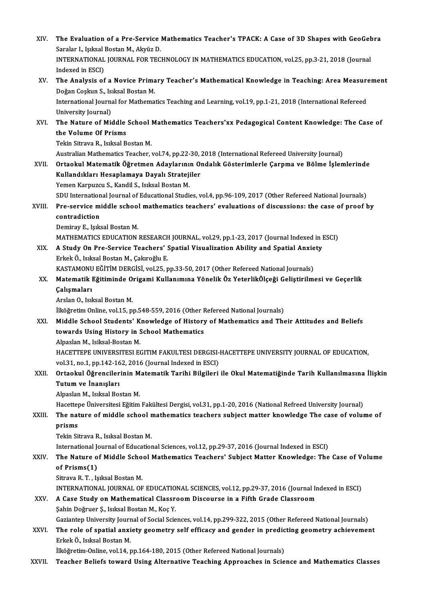| XIV.   | The Evaluation of a Pre-Service Mathematics Teacher's TPACK: A Case of 3D Shapes with GeoGebra                                                                                                   |
|--------|--------------------------------------------------------------------------------------------------------------------------------------------------------------------------------------------------|
|        | Saralar I., Işıksal Bostan M., Akyüz D.                                                                                                                                                          |
|        | INTERNATIONAL JOURNAL FOR TECHNOLOGY IN MATHEMATICS EDUCATION, vol.25, pp.3-21, 2018 (Journal                                                                                                    |
|        | Indexed in ESCI)                                                                                                                                                                                 |
| XV.    | The Analysis of a Novice Primary Teacher's Mathematical Knowledge in Teaching: Area Measurement                                                                                                  |
|        | Doğan Coşkun S., Isıksal Bostan M.                                                                                                                                                               |
|        | International Journal for Mathematics Teaching and Learning, vol.19, pp.1-21, 2018 (International Refereed                                                                                       |
| XVI.   | University Journal)                                                                                                                                                                              |
|        | The Nature of Middle School Mathematics Teachers'xx Pedagogical Content Knowledge: The Case of                                                                                                   |
|        | the Volume Of Prisms                                                                                                                                                                             |
|        | Tekin Sitrava R., Isıksal Bostan M.                                                                                                                                                              |
|        | Australian Mathematics Teacher, vol.74, pp.22-30, 2018 (International Refereed University Journal)<br>Ortaokul Matematik Öğretmen Adaylarının Ondalık Gösterimlerle Çarpma ve Bölme İşlemlerinde |
| XVII.  | Kullandıkları Hesaplamaya Dayalı Stratejiler                                                                                                                                                     |
|        | Yemen Karpuzcu S., Kandil S., Isıksal Bostan M.                                                                                                                                                  |
|        | SDU International Journal of Educational Studies, vol.4, pp.96-109, 2017 (Other Refereed National Journals)                                                                                      |
| XVIII. | Pre-service middle school mathematics teachers' evaluations of discussions: the case of proof by                                                                                                 |
|        | contradiction                                                                                                                                                                                    |
|        | Demiray E., Işıksal Bostan M.                                                                                                                                                                    |
|        | MATHEMATICS EDUCATION RESEARCH JOURNAL, vol.29, pp.1-23, 2017 (Journal Indexed in ESCI)                                                                                                          |
| XIX.   | A Study On Pre-Service Teachers' Spatial Visualization Ability and Spatial Anxiety                                                                                                               |
|        | Erkek Ö., Isıksal Bostan M., Çakıroğlu E.                                                                                                                                                        |
|        | KASTAMONU EĞİTİM DERGİSİ, vol.25, pp.33-50, 2017 (Other Refereed National Journals)                                                                                                              |
| XX.    | Matematik Eğitiminde Origami Kullanımına Yönelik Öz YeterlikÖlçeği Geliştirilmesi ve Geçerlik                                                                                                    |
|        | Çalışmaları                                                                                                                                                                                      |
|        | Arslan O., Isıksal Bostan M.                                                                                                                                                                     |
|        | İlköğretim Online, vol.15, pp.548-559, 2016 (Other Refereed National Journals)                                                                                                                   |
| XXI.   | Middle School Students' Knowledge of History of Mathematics and Their Attitudes and Beliefs                                                                                                      |
|        | towards Using History in School Mathematics                                                                                                                                                      |
|        | Alpaslan M., Isiksal-Bostan M.                                                                                                                                                                   |
|        | HACETTEPE UNIVERSITESI EGITIM FAKULTESI DERGISI-HACETTEPE UNIVERSITY JOURNAL OF EDUCATION,                                                                                                       |
|        | vol.31, no.1, pp.142-162, 2016 (Journal Indexed in ESCI)                                                                                                                                         |
| XXII.  | Ortaokul Öğrencilerinin Matematik Tarihi Bilgileri ile Okul Matematiğinde Tarih Kullanılmasına İlişkin                                                                                           |
|        | Tutum ve İnanışları                                                                                                                                                                              |
|        | Alpaslan M., Isıksal Bostan M.                                                                                                                                                                   |
|        | Hacettepe Üniversitesi Eğitim Fakültesi Dergisi, vol.31, pp.1-20, 2016 (National Refreed University Journal)                                                                                     |
| XXIII. | The nature of middle school mathematics teachers subject matter knowledge The case of volume of                                                                                                  |
|        | prisms                                                                                                                                                                                           |
|        | Tekin Sitrava R., Isıksal Bostan M.                                                                                                                                                              |
| XXIV.  | International Journal of Educational Sciences, vol.12, pp.29-37, 2016 (Journal Indexed in ESCI)                                                                                                  |
|        | The Nature of Middle School Mathematics Teachers' Subject Matter Knowledge: The Case of Volume<br>of Prisms(1)                                                                                   |
|        | Sitrava R. T., Işıksal Bostan M.                                                                                                                                                                 |
|        | INTERNATIONAL JOURNAL OF EDUCATIONAL SCIENCES, vol.12, pp.29-37, 2016 (Journal Indexed in ESCI)                                                                                                  |
| XXV.   | A Case Study on Mathematical Classroom Discourse in a Fifth Grade Classroom                                                                                                                      |
|        | Şahin Doğruer Ş., Isıksal Bostan M., Koç Y.                                                                                                                                                      |
|        | Gaziantep University Journal of Social Sciences, vol.14, pp.299-322, 2015 (Other Refereed National Journals)                                                                                     |
| XXVI.  | The role of spatial anxiety geometry self efficacy and gender in predicting geometry achievement                                                                                                 |
|        | Erkek Ö., Isıksal Bostan M.                                                                                                                                                                      |
|        | İlköğretim-Online, vol.14, pp.164-180, 2015 (Other Refereed National Journals)                                                                                                                   |
| XXVII. | Teacher Beliefs toward Using Alternative Teaching Approaches in Science and Mathematics Classes                                                                                                  |
|        |                                                                                                                                                                                                  |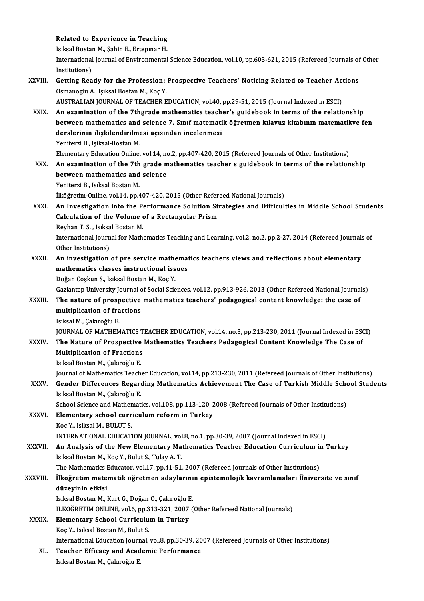# Related to Experience in Teaching<br>Islisel Bestan M. Sobin E. Extenuor H Related to Experience in Teaching<br>Isıksal Bostan M., Şahin E., Ertepınar H.<br>International Journal of Environmental

Isiksal Bostan M., Şahin E., Ertepinar H.

International Journal of Environmental Science Education, vol.10, pp.603-621, 2015 (Refereed Journals of Other<br>Institutions) International Journal of Environmental Science Education, vol.10, pp.603-621, 2015 (Refereed Journals of<br>Institutions)<br>XXVIII. Getting Ready for the Profession: Prospective Teachers' Noticing Related to Teacher Actions<br>Orm

Institutions)<br>Getting Ready for the Profession:<br>Osmanoglu A., Işıksal Bostan M., Koç Y.<br>AUSTRALIAN JOURNAL OF TEACHER F Getting Ready for the Profession: Prospective Teachers' Noticing Related to Teacher Act<br>Osmanoglu A., Işıksal Bostan M., Koç Y.<br>AUSTRALIAN JOURNAL OF TEACHER EDUCATION, vol.40, pp.29-51, 2015 (Journal Indexed in ESCI)<br>An e Osmanoglu A., Işıksal Bostan M., Koç Y.<br>AUSTRALIAN JOURNAL OF TEACHER EDUCATION, vol.40, pp.29-51, 2015 (Journal Indexed in ESCI)<br>XXIX. An examination of the 7thgrade mathematics teacher's guidebook in terms of the rel

AUSTRALIAN JOURNAL OF TEACHER EDUCATION, vol.40, pp.29-51, 2015 (Journal Indexed in ESCI)<br>An examination of the 7thgrade mathematics teacher's guidebook in terms of the relationship<br>between mathematics and science 7. Sınıf An examination of the 7thgrade mathematics teach<br>between mathematics and science 7. Sınıf matemati<br>derslerinin ilişkilendirilmesi açısından incelenmesi<br>Yoniterri B. Jeilrel Bestan M between mathematics and<br>derslerinin ilişkilendirilme<br>Yeniterzi B., Işiksal-Bostan M.<br>Elementery Education Online derslerinin ilişkilendirilmesi açısından incelenmesi<br>Yeniterzi B., Işiksal-Bostan M.<br>Elementary Education Online, vol.14, no.2, pp.407-420, 2015 (Refereed Journals of Other Institutions)

Yeniterzi B., Işiksal-Bostan M.<br>Elementary Education Online, vol.14, no.2, pp.407-420, 2015 (Refereed Journals of Other Institutions)<br>XXX. An examination of the 7th grade mathematics teacher s guidebook in terms of the rel Elementary Education Online, vol.14, no<br>An examination of the 7th grade m<br>between mathematics and science<br>Veniterri B. Jolisel Bestan M An examination of the 7th<br>between mathematics and<br>Yeniterzi B., Isıksal Bostan M.<br><sup>İlkäğnatim</sup> Online vel 14 nn 4

**between mathematics and science<br>Yeniterzi B., Isıksal Bostan M.<br>İlköğretim-Online, vol.14, pp.407-420, 2015 (Other Refereed National Journals)<br>An Investisation inte the Perfermanee Solution Strategies and Difficult** 

## Yeniterzi B., Isıksal Bostan M.<br>İlköğretim-Online, vol.14, pp.407-420, 2015 (Other Refereed National Journals)<br>XXXI. An Investigation into the Performance Solution Strategies and Difficulties in Middle School Students<br>Calc İlköğretim-Online, vol.14, pp.407-420, 2015 (Other Referd<br>An Investigation into the Performance Solution Str<br>Calculation of the Volume of a Rectangular Prism<br>Perhan T.S., Jakaal Bestan M An Investigation into the Pe<br>Calculation of the Volume<br>Reyhan T. S. , Isıksal Bostan M.<br>International Journal for Math

Reyhan T. S., Isiksal Bostan M.

Calculation of the Volume of a Rectangular Prism<br>Reyhan T. S. , Isıksal Bostan M.<br>International Journal for Mathematics Teaching and Learning, vol.2, no.2, pp.2-27, 2014 (Refereed Journals of<br>Other Institutions) International Journal for Mathematics Teaching and Learning, vol.2, no.2, pp.2-27, 2014 (Refereed Journals<br>Other Institutions)<br>XXXII. An investigation of pre service mathematics teachers views and reflections about element

## Other Institutions)<br>An investigation of pre service mathemat<br>mathematics classes instructional issues<br>Poğan Coshun S. Jaksal Bostan M. Kos V. An investigation of pre service mathematics classes instructional iss<br>Doğan Coşkun S., Isıksal Bostan M., Koç Y.<br>Cariantan University Journal of Social Scie mathematics classes instructional issues<br>Doğan Coşkun S., Isıksal Bostan M., Koç Y.<br>Gaziantep University Journal of Social Sciences, vol.12, pp.913-926, 2013 (Other Refereed National Journals)<br>The nature of prespective mat

### Doğan Coşkun S., Isıksal Bostan M., Koç Y.<br>Gaziantep University Journal of Social Sciences, vol.12, pp.913-926, 2013 (Other Refereed National Journa<br>XXXIII. The nature of prospective mathematics teachers' pedagogical conte Gaziantep University Journal c<br>The nature of prospective<br>multiplication of fractions<br>Jaikaal M. Cakroğlu E The nature of prosp<br>multiplication of fra<br>Isiksal M., Çakıroğlu E.<br>IQUPNAL OF MATUEM multiplication of fractions<br>Isiksal M., Çakıroğlu E.<br>JOURNAL OF MATHEMATICS TEACHER EDUCATION, vol.14, no.3, pp.213-230, 2011 (Journal Indexed in ESCI)<br>The Nature of Prespective Mathematics Teachers Pedesessical Centent Kn

### Isiksal M., Çakıroğlu E.<br>JOURNAL OF MATHEMATICS TEACHER EDUCATION, vol.14, no.3, pp.213-230, 2011 (Journal Indexed in ESON)<br>XXXIV. The Nature of Prospective Mathematics Teachers Pedagogical Content Knowledge The Case o **JOURNAL OF MATHEMATICS T<br>The Nature of Prospective<br>Multiplication of Fractions**<br>Journal Bostan M. Colunežiu E The Nature of Prospective Mathematics Teachers Pedagogical Content Knowledge The Case of Multiplication of Fractions<br>Isıksal Bostan M., Çakıroğlu E. Multiplication of Fractions<br>Isıksal Bostan M., Çakıroğlu E.<br>Journal of Mathematics Teacher Education, vol.14, pp.213-230, 2011 (Refereed Journals of Other Institutions)<br>Conder Differences Boganding Mathematics Ashievement

#### Isıksal Bostan M., Çakıroğlu E.<br>Journal of Mathematics Teacher Education, vol.14, pp.213-230, 2011 (Refereed Journals of Other Institutions)<br>XXXV. Gender Differences Regarding Mathematics Achievement The Case of Turkis Journal of Mathematics Teach<br>Gender Differences Regard<br>Isıksal Bostan M., Çakıroğlu E.<br>Sebool Scionce and Mathemati Gender Differences Regarding Mathematics Achievement The Case of Turkish Middle School Students<br>Isiksal Bostan M., Çakıroğlu E.

School Science and Mathematics, vol.108, pp.113-120, 2008 (Refereed Journals of Other Institutions)

### XXXVI. Elementary school curriculum reform in Turkey<br>Koc Y., Isiksal M., BULUT S. Elementary school curriculum reform in Turkey<br>Koc Y., Isiksal M., BULUT S.<br>INTERNATIONAL EDUCATION JOURNAL, vol.8, no.1, pp.30-39, 2007 (Journal Indexed in ESCI)<br>An Analysis of the New Elementary Mathematics Teacher Educat

#### XXXVII. An Analysis of the New Elementary Mathematics Teacher Education Curriculum in Turkey<br>Isiksal Bostan M., Koç Y., Bulut S., Tulay A. T. INTERNATIONAL EDUCATION JOURNAL, vol<br>An Analysis of the New Elementary Ma<br>Isıksal Bostan M., Koç Y., Bulut S., Tulay A. T.<br>The Mathematics Educator vol 17 nn 41 51 An Analysis of the New Elementary Mathematics Teacher Education Curriculum in<br>Isıksal Bostan M., Koç Y., Bulut S., Tulay A. T.<br>The Mathematics Educator, vol.17, pp.41-51, 2007 (Refereed Journals of Other Institutions)<br>Ilkö

### Isıksal Bostan M., Koç Y., Bulut S., Tulay A. T.<br>The Mathematics Educator, vol.17, pp.41-51, 2007 (Refereed Journals of Other Institutions)<br>XXXVIII. İlköğretim matematik öğretmen adaylarının epistemolojik kavramlamaları Ün The Mathematics I<br>İlköğretim mate<br>düzeyinin etkisi<br>Jokaal Bostan M İlköğretim matematik öğretmen adaylarının epistemolojik kavramlamaları Üniversite ve sınıf<br>düzeyinin etkisi<br>Isıksal Bostan M., Kurt G., Doğan O., Cakıroğlu E.

düzeyinin etkisi<br>Isıksal Bostan M., Kurt G., Doğan O., Çakıroğlu E.<br>İLKÖĞRETİM ONLİNE, vol.6, pp.313-321, 2007 (Other Refereed National Journals)<br>Elementary Sebael Currisulum in Turkey

### XXXIX. Elementary School Curriculum in Turkey<br>Koc Y., Isiksal Bostan M., Bulut S. İLKÖĞRETİM ONLİNE, vol.6, pp.3<br>Elementary School Curriculu<br>Koç Y., Isıksal Bostan M., Bulut S.<br>International Education Journal

International Education Journal, vol.8, pp.30-39, 2007 (Refereed Journals of Other Institutions)

XL. Teacher Efficacy and Academic Performance Isıksal Bostan M., Çakıroğlu E.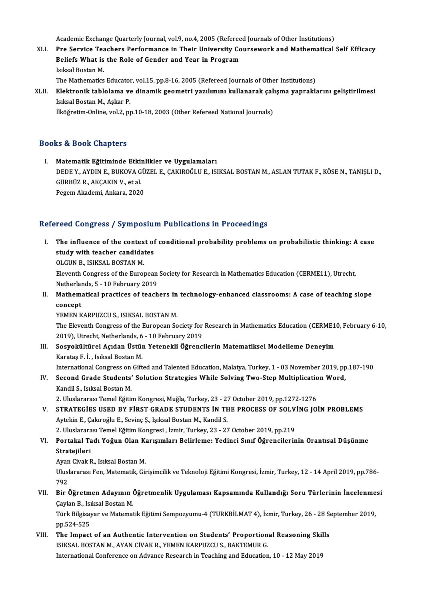Academic Exchange Quarterly Journal, vol.9, no.4, 2005 (Refereed Journals of Other Institutions)<br>Pre Service Teachers Perfermance in Their University Coursewerk and Mathematical

Academic Exchange Quarterly Journal, vol.9, no.4, 2005 (Refereed Journals of Other Institutions)<br>XLI. Pre Service Teachers Performance in Their University Coursework and Mathematical Self Efficacy Academic Exchange Quarterly Journal, vol.9, no.4, 2005 (Referee<br>Pre Service Teachers Performance in Their University Co<br>Beliefs What is the Role of Gender and Year in Program<br>Islisel Beeten M Pre Service Tea<br>Beliefs What is<br>Isıksal Bostan M.<br>The Methematice Beliefs What is the Role of Gender and Year in Program<br>Isıksal Bostan M.<br>The Mathematics Educator, vol.15, pp.8-16, 2005 (Refereed Journals of Other Institutions)<br>Flektronik tablelama ve dinamik seemetri yazılımını kullana

Isıksal Bostan M.<br>The Mathematics Educator, vol.15, pp.8-16, 2005 (Refereed Journals of Other Institutions)<br>XLII. Elektronik tablolama ve dinamik geometri yazılımını kullanarak çalışma yapraklarını geliştirilmesi<br>Isıks The Mathematics Educator<br>Elektronik tablolama ve<br>Isıksal Bostan M., Aşkar P.<br><sup>İlköğrotim Online vol 2.</sup> nı <mark>Elektronik tablolama ve dinamik geometri yazılımını kullanarak çal</mark><br>Isıksal Bostan M., Aşkar P.<br>İlköğretim-Online, vol.2, pp.10-18, 2003 (Other Refereed National Journals)

İlköğretim-Online, vol.2, pp.10-18, 2003 (Other Refereed National Journals)<br>Books & Book Chapters

I. Matematik Eğitiminde Etkinlikler ve Uygulamaları ID & DOON GAuptors<br>Matematik Eğitiminde Etkinlikler ve Uygulamaları<br>DEDE Y., AYDIN E., BUKOVA GÜZEL E., ÇAKIROĞLU E., ISIKSAL BOSTAN M., ASLAN TUTAK F., KÖSE N., TANIŞLI D.,<br>GÜRRÜZ R. AKGAKIN V. et al Matematik Eğitiminde Etki<br>DEDE Y., AYDIN E., BUKOVA G<br>GÜRBÜZ R., AKÇAKIN V., et al.<br>Pezem Akademi Ankara 2020 DEDE Y., AYDIN E., BUKOVA GÜ<br>GÜRBÜZ R., AKÇAKIN V., et al.<br>Pegem Akademi, Ankara, 2020 Pegem Akademi, Ankara, 2020<br>Refereed Congress / Symposium Publications in Proceedings

efereed Congress / Symposium Publications in Proceedings<br>I. The influence of the context of conditional probability problems on probabilistic thinking: A case<br>study with teacher condidates The influence of the context of<br>study with teacher candidates<br>OLCUN B. ISIXSAL BOSTAN M The influence of the contex<br>study with teacher candida<br>OLGUN B., ISIKSAL BOSTAN M.<br>Eleventh Congress of the Euro

study with teacher candidates<br>OLGUN B., ISIKSAL BOSTAN M.<br>Eleventh Congress of the European Society for Research in Mathematics Education (CERME11), Utrecht,<br>Netherlands E., 10 Eebruary 2019 OLGUN B., ISIKSAL BOSTAN M.<br>Eleventh Congress of the European<br>Netherlands, 5 - 10 February 2019<br>Mathematical prestiess of teach Netherlands, 5 - 10 February 2019

II. Mathematical practices of teachers in technology-enhanced classrooms: A case of teaching slope concept

YEMEN KARPUZCU S., ISIKSAL BOSTAN M.

concept<br>YEMEN KARPUZCU S., ISIKSAL BOSTAN M.<br>The Eleventh Congress of the European Society for Research in Mathematics Education (CERME10, February 6-10,<br>2010), Utrecht, Netherlands & 10 February 2010 YEMEN KARPUZCU S., ISIKSAL BOSTAN M.<br>The Eleventh Congress of the European Society for<br>2019), Utrecht, Netherlands, 6 - 10 February 2019<br>Sesvekültünel Asıdan Üstün Yetanekli Öğrengi The Eleventh Congress of the European Society for Research in Mathematics Education (CERME1<br>2019), Utrecht, Netherlands, 6 - 10 February 2019<br>III. Sosyokültürel Açıdan Üstün Yetenekli Öğrencilerin Matematiksel Modelleme De

2019), Utrecht, Netherlands, 6<br>Sosyokültürel Açıdan Üstür<br>Karataş F. İ. , Isıksal Bostan M.<br>International Congress en Cift Karataş F. İ. , Isıksal Bostan M.<br>International Congress on Gifted and Talented Education, Malatya, Turkey, 1 - 03 November 2019, pp.187-190

Karataş F. İ. , Isıksal Bostan M.<br>International Congress on Gifted and Talented Education, Malatya, Turkey, 1 - 03 November 2019, pp<br>IV. Second Grade Students' Solution Strategies While Solving Two-Step Multiplication International Congress on<br>Second Grade Students'<br>Kandil S., Isıksal Bostan M.<br>2. Illuclarares: Temel Făiti Second Grade Students' Solution Strategies While Solving Two-Step Multiplicatio<br>Kandil S., Isıksal Bostan M.<br>2. Uluslararası Temel Eğitim Kongresi, Muğla, Turkey, 23 - 27 October 2019, pp.1272-1276<br>STRATECİES USED BY EİRST

Kandil S., Isıksal Bostan M.<br>2. Uluslararası Temel Eğitim Kongresi, Muğla, Turkey, 23 - 27 October 2019, pp.1272-1276<br>2. V. STRATEGİES USED BY FİRST GRADE STUDENTS İN THE PROCESS OF SOLVİNG JOİN PROBLEMS 2. Uluslararası Temel Eğitim Kongresi, Muğla, Turkey, 23 - 2'<br>STRATEGİES USED BY FİRST GRADE STUDENTS İN TH<br>Aytekin E., Çakıroğlu E., Sevinç Ş., Işıksal Bostan M., Kandil S.<br>2. Uluslararası Tamel Eğitim Kongresi, İsmir Tur STRATEGİES USED BY FİRST GRADE STUDENTS İN THE PROCESS OF SOLV<br>Aytekin E., Çakıroğlu E., Sevinç Ş., Işıksal Bostan M., Kandil S.<br>2. Uluslararası Temel Eğitim Kongresi , İzmir, Turkey, 23 - 27 October 2019, pp.219<br>Bortakal Aytekin E., Çakıroğlu E., Sevinç Ş., Işıksal Bostan M., Kandil S.<br>2. Uluslararası Temel Eğitim Kongresi , İzmir, Turkey, 23 - 27 October 2019, pp.219<br>1. Portakal Tadı Yoğun Olan Karışımları Belirleme: Yedinci Sınıf Öğrenci

# 2. Uluslarara<br>Portakal Ta<br>Stratejileri<br>Avon Givek E Portakal Tadı Yoğun Olan K.<br>Stratejileri<br>Ayan Civak R., Isıksal Bostan M.<br>Uluelararası Fan Matamatik Cü

Stratejileri<br>Ayan Civak R., Isıksal Bostan M.<br>Uluslararası Fen, Matematik, Girişimcilik ve Teknoloji Eğitimi Kongresi, İzmir, Turkey, 12 - 14 April 2019, pp.786-Ayan<br>Ulusl<br>792<br>Pir d Vluslararası Fen, Matematik, Girişimcilik ve Teknoloji Eğitimi Kongresi, İzmir, Turkey, 12 - 14 April 2019, pp.786-<br>192<br>VII. Bir Öğretmen Adayının Öğretmenlik Uygulaması Kapsamında Kullandığı Soru Türlerinin İncelenmesi<br>19

792<br>Bir Öğretmen Adayının (<br>Çaylan B., Isıksal Bostan M.<br>Türk Bilgisayar ve Matamat Bir Öğretmen Adayının Öğretmenlik Uygulaması Kapsamında Kullandığı Soru Türlerinin İncelenme<br>Çaylan B., Isıksal Bostan M.<br>Türk Bilgisayar ve Matematik Eğitimi Sempozyumu-4 (TURKBİLMAT 4), İzmir, Turkey, 26 - 28 September 2

Çaylan B., Isi<br>Türk Bilgisay<br>pp.524-525<br>The Imnast Türk Bilgisayar ve Matematik Eğitimi Sempozyumu-4 (TURKBİLMAT 4), İzmir, Turkey, 26 - 28 Septim - 28 Septim - 28 Septim - 28 Septim - 28 Septim - 28 Septim - 28 Septim - 28 Septim - 28 Septim - 28 Septim - 28 Septim - 28 S

pp.524-525<br>The Impact of an Authentic Intervention on Students' Proportion<br>ISIKSAL BOSTAN M., AYAN CİVAK R., YEMEN KARPUZCU S., BAKTEMUR G.<br>International Conference en Advance Beseersh in Teaching and Education The Impact of an Authentic Intervention on Students' Proportional Reasoning Skil<br>ISIKSAL BOSTAN M., AYAN CİVAK R., YEMEN KARPUZCU S., BAKTEMUR G.<br>International Conference on Advance Research in Teaching and Education, 10 -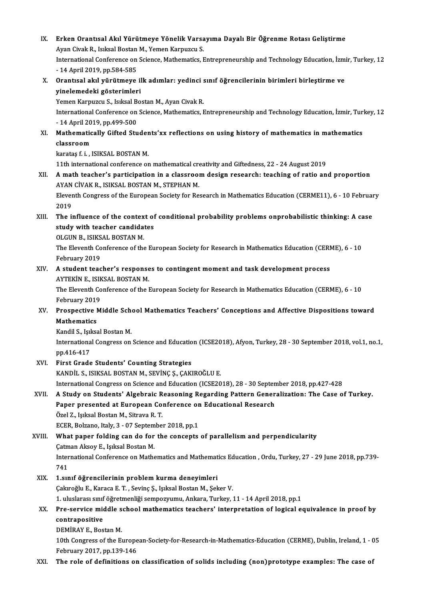IX. Erken Orantısal Akıl Yürütmeye Yönelik Varsayıma Dayalı Bir Öğrenme Rotası Geliştirme Erken Orantısal Akıl Yürütmeye Yönelik Varsa<br>Ayan Civak R., Isıksal Bostan M., Yemen Karpuzcu S.<br>International Conference en Science Methematics I Erken Orantısal Akıl Yürütmeye Yönelik Varsayıma Dayalı Bir Öğrenme Rotası Geliştirme<br>Ayan Civak R., Isıksal Bostan M., Yemen Karpuzcu S.<br>International Conference on Science, Mathematics, Entrepreneurship and Technology Ed Ayan Civak R., Isıksal Bostan M., Yemen Karpuzcu S.<br>International Conference on Science, Mathematics, Entrepreneurship and Technology Education, İzmir, Turkey, 12<br>- 14 April 2019, pp.584-585 International Conference on Science, Mathematics, Entrepreneurship and Technology Education, İzm<br>- 14 April 2019, pp.584-585<br>X. Orantısal akıl yürütmeye ilk adımlar: yedinci sınıf öğrencilerinin birimleri birleştirme ve<br>vi - 14 April 2019, pp.584-585<br>Orantısal akıl yürütmeye il<br>yinelemedeki gösterimleri<br><sup>Yomon Karnuzcu S.</sup> İsi<sup>kçal Bo</sup> Orantısal akıl yürütmeye ilk adımlar: yedinci :<br>yinelemedeki gösterimleri<br>Yemen Karpuzcu S., Isıksal Bostan M., Ayan Civak R.<br>International Conference en Science Mathematics I yinelemedeki gösterimleri<br>Yemen Karpuzcu S., Isıksal Bostan M., Ayan Civak R.<br>International Conference on Science, Mathematics, Entrepreneurship and Technology Education, İzmir, Turkey, 12<br>- 14 April 2019, pp.499-500 Yemen Karpuzcu S., Isıksal B<br>International Conference on<br>- 14 April 2019, pp.499-500<br>Mathematically Cifted Stu International Conference on Science, Mathematics, Entrepreneurship and Technology Education, İzmir, Tur. - 14 April 2019, pp.499-500<br>XI. Mathematically Gifted Students'xx reflections on using history of mathematics in math - 14 April 20<br>Mathematic<br>classroom<br>karates f.i... Mathematically Gifted Studer<br>classroom<br>karataş f. i. , ISIKSAL BOSTAN M.<br>11th international conference er classroom<br>karataş f. i. , ISIKSAL BOSTAN M.<br>11th international conference on mathematical creativity and Giftedness, 22 - 24 August 2019 karataş f. i. , ISIKSAL BOSTAN M.<br>11th international conference on mathematical creativity and Giftedness, 22 - 24 August 2019<br>XII. A math teacher's participation in a classroom design research: teaching of ratio and p 11th international conference on mathematical creation.<br>A math teacher's participation in a classroon<br>AYAN CİVAK R., ISIKSAL BOSTAN M., STEPHAN M.<br>Eleventh Congress of the European Society for Bo A math teacher's participation in a classroom design research: teaching of ratio and proportion<br>AYAN CİVAK R., ISIKSAL BOSTAN M., STEPHAN M.<br>Eleventh Congress of the European Society for Research in Mathematics Education ( AYAN CİVAK R., ISIKSAL BOSTAN M., STEPHAN M.<br>Eleventh Congress of the European Society for Research in Mathematics Education (CERME11), 6 - 10 February<br>2019 Eleventh Congress of the European Society for Research in Mathematics Education (CERME11), 6 - 10 February<br>2019<br>XIII. The influence of the context of conditional probability problems onprobabilistic thinking: A case<br>atudy 2019<br>The influence of the context of<br>study with teacher candidates<br>OLCUN BUSEKSAL BOSTAN M The influence of the contex<br>study with teacher candida<br>OLGUN B., ISIKSAL BOSTAN M.<br>The Flewenth Conference of the study with teacher candidates<br>OLGUN B., ISIKSAL BOSTAN M.<br>The Eleventh Conference of the European Society for Research in Mathematics Education (CERME), 6 - 10<br>February 2019 OLGUN B., ISIKSAL BOSTAN M. The Eleventh Conference of the European Society for Research in Mathematics Education (CERN<br>February 2019<br>XIV. A student teacher's responses to contingent moment and task development process<br>AVTERIN E ISIKSAL POSTAN M February 2019<br>A student teacher's response<br>AYTEKİN E., ISIKSAL BOSTAN M.<br>The Fleventh Conference of the l The Eleventh Conference of the European Society for Research in Mathematics Education (CERME), 6 - 10<br>February 2019 AYTEKİN E. ISIKSAL BOSTAN M. The Eleventh Conference of the European Society for Research in Mathematics Education (CERME), 6 - 10<br>February 2019<br>XV. Prospective Middle School Mathematics Teachers' Conceptions and Affective Dispositions toward<br>Mathemat February 2019<br>Prospective I<br>Mathematics<br>Kondil S. Jokss Prospective Middle Sch<br>Mathematics<br>Kandil S., Işıksal Bostan M.<br>International Congrees on Mathematics<br>Kandil S., Işıksal Bostan M.<br>International Congress on Science and Education (ICSE2018), Afyon, Turkey, 28 - 30 September 2018, vol.1, no.1,<br>pp.416-417 Kandil S., Işıksal Bostan M. XVI. First Grade Students' Counting Strategies KANDİL S., ISIKSAL BOSTAN M., SEVİNÇ Ş., ÇAKIROĞLU E. International Congress on Science and Education (ICSE2018), 28 - 30 September 2018, pp.427-428 KANDİL S., ISIKSAL BOSTAN M., SEVİNÇ Ş., ÇAKIROĞLU E.<br>International Congress on Science and Education (ICSE2018), 28 - 30 September 2018, pp.427-428<br>XVII. A Study on Students' Algebraic Reasoning Regarding Pattern Generali International Congress on Science and Education (ICSE2018), 28 - 30 Septen<br>A Study on Students' Algebraic Reasoning Regarding Pattern Gener<br>Paper presented at European Conference on Educational Research<br>Örel 7. Jalisel Bee A Study on Students' Algebraic R<br>Paper presented at European Co:<br>Özel Z., Işıksal Bostan M., Sitrava R. T.<br>ECEP Polzano Italy 3 - 07 Sentembe Paper presented at European Conference on<br>Özel Z., Işıksal Bostan M., Sitrava R. T.<br>ECER, Bolzano, Italy, 3 - 07 September 2018, pp.1<br>What paper folding san do for the consents Özel Z., Işıksal Bostan M., Sitrava R. T.<br>ECER, Bolzano, Italy, 3 - 07 September 2018, pp.1<br>XVIII. What paper folding can do for the concepts of parallelism and perpendicularity<br>Catman Aksoy E., Isıksal Bostan M. ECER, Bolzano, Italy, 3 - 07 Septem<br>What paper folding can do for<br>Catman Aksoy E., Işıksal Bostan M.<br>International Conference on Mathe What paper folding can do for the concepts of parallelism and perpendicularity<br>Çatman Aksoy E., Işıksal Bostan M.<br>International Conference on Mathematics and Mathematics Education , Ordu, Turkey, 27 - 29 June 2018, pp.739-Catm<br>Inter<br>741<br>1 sur International Conference on Mathematics and Mathemat<br>741<br>XIX. 1.sınıf öğrencilerinin problem kurma deneyimleri<br>Colureğlu E. Karece E.T. Savine S. Jalicel Bestan M. Salı 741<br>1.sınıf öğrencilerinin problem kurma deneyimleri<br>Çakıroğlu E., Karaca E. T. , Sevinç Ş., Işıksal Bostan M., Şeker V.<br>1. uluslarası sınıf öğretmenliği semnegyumu. Ankara Turkey 1.sınıf öğrencilerinin problem kurma deneyimleri<br>Çakıroğlu E., Karaca E. T. , Sevinç Ş., Işıksal Bostan M., Şeker V.<br>1. uluslarası sınıf öğretmenliği sempozyumu, Ankara, Turkey, 11 - 14 April 2018, pp.1<br>Pre servise middle Cakıroğlu E., Karaca E. T. , Sevinç Ş., Işıksal Bostan M., Şeker V.<br>1. uluslarası sınıf öğretmenliği sempozyumu, Ankara, Turkey, 11 - 14 April 2018, pp.1<br>XX. Pre-service middle school mathematics teachers' interpretation o 1. uluslarası sınıf<br>Pre-service mic<br>contrapositive<br>DEMİRAY E. Bos Pre-service middle s<br>contrapositive<br>DEMİRAY E., Bostan M.<br>10th Congress of the E. contrapositive<br>DEMİRAY E., Bostan M.<br>10th Congress of the European-Society-for-Research-in-Mathematics-Education (CERME), Dublin, Ireland, 1 - 05<br>February 2017, np.129,146 **DEMİRAY E., Bostan M.<br>10th Congress of the Europe<br>February 2017, pp.139-146<br>The role of definitions on** XXI. The role of definitions on classification of solids including (non)prototype examples: The case of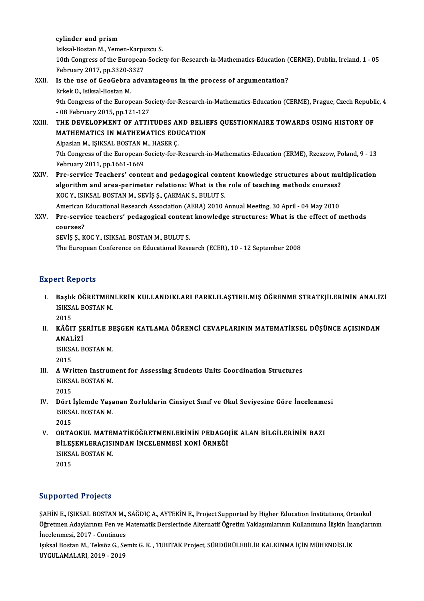#### cylinder and prism

Isiksal-BostanM.,Yemen-Karpuzcu S.

10th Congress of the European-Society-for-Research-in-Mathematics-Education (CERME), Dublin, Ireland, 1 - 05 Isiksal-Bostan M., Yemen-Karpu<br>10th Congress of the European<br>February 2017, pp.3320-3327<br>Is the use of CooCohre adv

- XXII. Is the use of GeoGebra advantageous in the process of argumentation?<br>Erkek O., Isiksal-Bostan M. February 2017, pp.3320-3<br>Is the use of GeoGebra<br>Erkek O., Isiksal-Bostan M.<br><sup>Oth Congrees of the Euron</sup> Is the use of GeoGebra advantageous in the process of argumentation?<br>Erkek O., Isiksal-Bostan M.<br>9th Congress of the European-Society-for-Research-in-Mathematics-Education (CERME), Prague, Czech Republic, 4 Erkek O., Isiksal-Bostan M.<br>9th Congress of the European-So<br>- 08 February 2015, pp.121-127<br>THE DEVELOPMENT OF ATTL
- 9th Congress of the European-Society-for-Research-in-Mathematics-Education (CERME), Prague, Czech Republ:<br>- 08 February 2015, pp.121-127<br>XXIII. THE DEVELOPMENT OF ATTITUDES AND BELIEFS QUESTIONNAIRE TOWARDS USING HISTORY O - 08 February 2015, pp.121-127<br>THE DEVELOPMENT OF ATTITUDES AND BELIE<br>MATHEMATICS IN MATHEMATICS EDUCATION<br>Alpeelan MusiksAL POSTAN MULASER C THE DEVELOPMENT OF ATTITUDES AI<br>MATHEMATICS IN MATHEMATICS EDU<br>Alpaslan M., IŞIKSAL BOSTAN M., HASER Ç.<br>7th Congress of the European Society for L MATHEMATICS IN MATHEMATICS EDUCATION<br>Alpaslan M., IŞIKSAL BOSTAN M., HASER Ç.<br>7th Congress of the European-Society-for-Research-in-Mathematics-Education (ERME), Rzeszow, Poland, 9 - 13<br>February 2011, pp.1661-1669 Alpaslan M., IŞIKSAL BOSTAN M., HASER Ç. Th Congress of the European-Society-for-Research-in-Mathematics-Education (ERME), Rzeszow, Poland, 9 - 13<br>February 2011, pp.1661-1669<br>XXIV. Pre-service Teachers' content and pedagogical content knowledge structures about m
- February 2011, pp.1661-1669<br>Pre-service Teachers' content and pedagogical content knowledge structures about mul<br>algorithm and area-perimeter relations: What is the role of teaching methods courses?<br>YOC V. ISIVSAL POSTAN M Pre-service Teachers' content and pedagogical content<br>algorithm and area-perimeter relations: What is the<br>KOC Y., ISIKSAL BOSTAN M., SEVİŞ Ş., ÇAKMAK S., BULUT S.<br>American Educational Bessersh Association (AERA) 2010 ( algorithm and area-perimeter relations: What is the role of teaching methods courses?<br>KOC Y., ISIKSAL BOSTAN M., SEVIȘ Ș., ÇAKMAK S., BULUT S.<br>American Educational Research Association (AERA) 2010 Annual Meeting, 30 April KOC Y., ISIKSAL BOSTAN M., SEVIŞ Ş., ÇAKMAK S., BULUT S.<br>American Educational Research Association (AERA) 2010 Annual Meeting, 30 April - 04 May 2010<br>XXV. Pre-service teachers' pedagogical content knowledge structures: Wha

American<br>**Pre-servi**<br>courses?<br>sevis s. *v* Pre-service teachers' pedagogical content<br>courses?<br>SEVİŞ Ş., KOC Y., ISIKSAL BOSTAN M., BULUT S.<br>The European Conference on Educational Boss courses?<br>SEVİŞ Ş., KOC Y., ISIKSAL BOSTAN M., BULUT S.<br>The European Conference on Educational Research (ECER), 10 - 12 September 2008

#### **Expert Reports**

- Xpert Reports<br>I. Başlık ÖĞRETMENLERİN KULLANDIKLARI FARKLILAŞTIRILMIŞ ÖĞRENME STRATEJİLERİNİN ANALİZİ<br>ISIKSAL ROSTAN M IST ROPOTES<br>Başlık ÖĞRETMEN<br>ISIKSAL BOSTAN M.<br>2015 **Başlıl**<br>ISIKSA<br>2015<br>Kâčr
	-
- ISIKSAL BOSTAN M.<br>2015<br>II. KÂĞIT ŞERİTLE BEŞGEN KATLAMA ÖĞRENCİ CEVAPLARININ MATEMATİKSEL DÜŞÜNCE AÇISINDAN<br>ANALIZI 2015<br>KÂĞIT ŞI<br>ANALİZİ<br>ISIYSAL P KÂĞIT ŞERİTLE BI<br>ANALİZİ<br>ISIKSAL BOSTAN M.<br>2015

ANALİZİ<br>ISIKSAL BOSTAN M.<br>2015

- ISIKSAL BOSTAN M.<br>2015<br>III. A Written Instrument for Assessing Students Units Coordination Structures<br>ISIKSAL POSTAN M 2015<br>A Written Instrum<br>ISIKSAL BOSTAN M.<br>2015 A Wri<br>ISIKS/<br>2015<br>Därt ISIKSAL BOSTAN M.<br>2015<br>IV. Dört İşlemde Yaşanan Zorluklarin Cinsiyet Sınıf ve Okul Seviyesine Göre İncelenmesi<br>ISIKSAL ROSTAN M
- 2015<br>Dört İşlemde Yaşa<br>ISIKSAL BOSTAN M.<br>2015 1<br>151KS/<br>2015<br>0PTA
- ISIKSAL BOSTAN M.<br>2015<br>V. ORTAOKUL MATEMATİKÖĞRETMENLERİNİN PEDAGOJİK ALAN BİLGİLERİNİN BAZI<br>PİLESENI ERACISINDAN İNCELENMESİ KONİ ÖRNEĞI 2015<br>ORTAOKUL MATEMATİKÖĞRETMENLERİNİN PEDAGO<br>BİLEŞENLERAÇISINDAN İNCELENMESİ KONİ ÖRNEĞİ<br>ISIKSAL POSTAN M ORTAOKUL MATEI<br>BİLEŞENLERAÇISI<br>ISIKSAL BOSTAN M.<br>2015 BİLEŞENLERAÇISINDAN İNCELENMESİ KONİ ÖRNEĞİ ISIKSAL BOSTAN M.<br>2015

#### Supported Projects

Supported Projects<br>ŞAHİN E., IŞIKSAL BOSTAN M., SAĞDIÇ A., AYTEKİN E., Project Supported by Higher Education Institutions, Ortaokul<br>Öğretmen Adaylannın Fen ve Matamatik Darslarinde Altamatif Öğretim Yaklasımlannın Kullanım Öü politicm Trojects<br>ŞAHİN E., IŞIKSAL BOSTAN M., SAĞDIÇ A., AYTEKİN E., Project Supported by Higher Education Institutions, Ortaokul<br>Öğretmen Adaylarının Fen ve Matematik Derslerinde Alternatif Öğretim Yaklaşımlarının Kul ŞAHİN E., IŞIKSAL BOSTAN M.,<br>Öğretmen Adaylarının Fen ve M<br>İncelenmesi, 2017 - Continues<br>Isılsal Bostan M. Telsöz C. So Öğretmen Adaylarının Fen ve Matematik Derslerinde Alternatif Öğretim Yaklaşımlarının Kullanımına İlişkin İnançlarının<br>İncelenmesi, 2017 - Continues<br>Işıksal Bostan M., Teksöz G., Semiz G. K. , TUBITAK Project, SÜRDÜRÜLEBİLİ Incelenmesi, 2017 - Continues